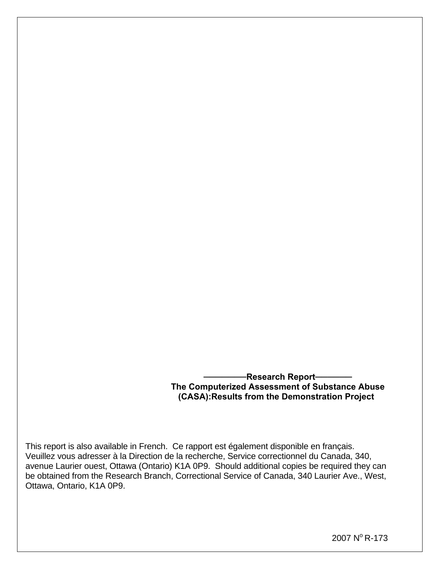#### $-$ **Research Report The Computerized Assessment of Substance Abuse (CASA):Results from the Demonstration Project**

This report is also available in French. Ce rapport est également disponible en français. Veuillez vous adresser à la Direction de la recherche, Service correctionnel du Canada, 340, avenue Laurier ouest, Ottawa (Ontario) K1A 0P9. Should additional copies be required they can be obtained from the Research Branch, Correctional Service of Canada, 340 Laurier Ave., West, Ottawa, Ontario, K1A 0P9.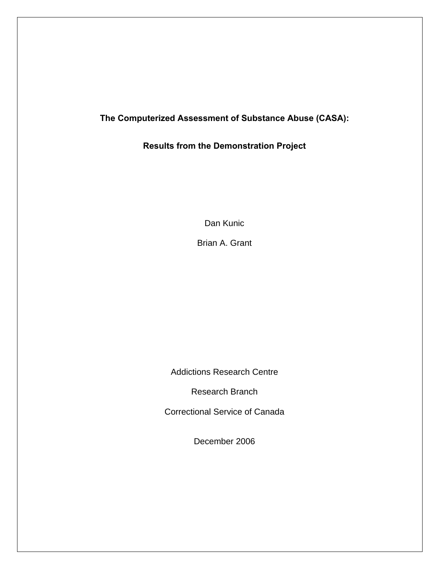## **The Computerized Assessment of Substance Abuse (CASA):**

# **Results from the Demonstration Project**

Dan Kunic

Brian A. Grant

Addictions Research Centre

Research Branch

Correctional Service of Canada

December 2006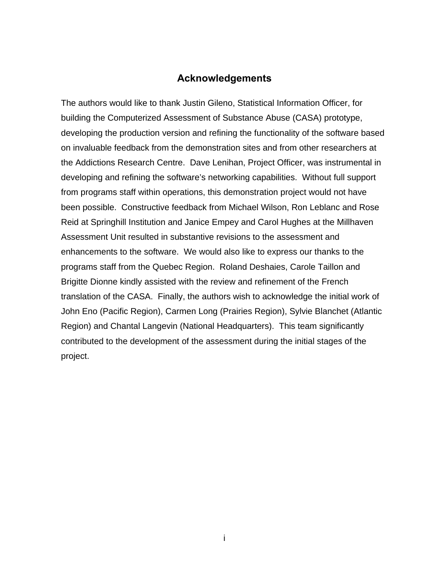## **Acknowledgements**

<span id="page-2-0"></span>The authors would like to thank Justin Gileno, Statistical Information Officer, for building the Computerized Assessment of Substance Abuse (CASA) prototype, developing the production version and refining the functionality of the software based on invaluable feedback from the demonstration sites and from other researchers at the Addictions Research Centre. Dave Lenihan, Project Officer, was instrumental in developing and refining the software's networking capabilities. Without full support from programs staff within operations, this demonstration project would not have been possible. Constructive feedback from Michael Wilson, Ron Leblanc and Rose Reid at Springhill Institution and Janice Empey and Carol Hughes at the Millhaven Assessment Unit resulted in substantive revisions to the assessment and enhancements to the software. We would also like to express our thanks to the programs staff from the Quebec Region. Roland Deshaies, Carole Taillon and Brigitte Dionne kindly assisted with the review and refinement of the French translation of the CASA. Finally, the authors wish to acknowledge the initial work of John Eno (Pacific Region), Carmen Long (Prairies Region), Sylvie Blanchet (Atlantic Region) and Chantal Langevin (National Headquarters). This team significantly contributed to the development of the assessment during the initial stages of the project.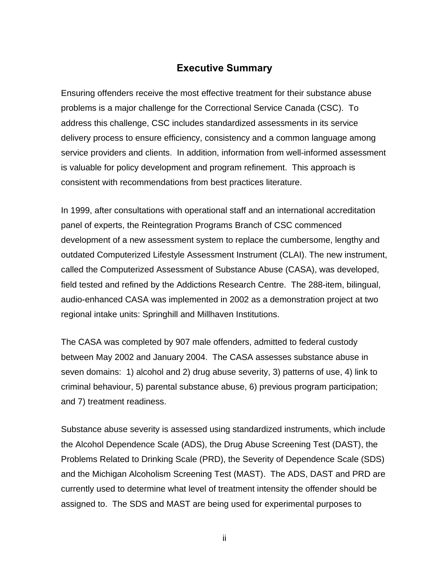# **Executive Summary**

<span id="page-3-0"></span>Ensuring offenders receive the most effective treatment for their substance abuse problems is a major challenge for the Correctional Service Canada (CSC). To address this challenge, CSC includes standardized assessments in its service delivery process to ensure efficiency, consistency and a common language among service providers and clients. In addition, information from well-informed assessment is valuable for policy development and program refinement. This approach is consistent with recommendations from best practices literature.

In 1999, after consultations with operational staff and an international accreditation panel of experts, the Reintegration Programs Branch of CSC commenced development of a new assessment system to replace the cumbersome, lengthy and outdated Computerized Lifestyle Assessment Instrument (CLAI). The new instrument, called the Computerized Assessment of Substance Abuse (CASA), was developed, field tested and refined by the Addictions Research Centre. The 288-item, bilingual, audio-enhanced CASA was implemented in 2002 as a demonstration project at two regional intake units: Springhill and Millhaven Institutions.

The CASA was completed by 907 male offenders, admitted to federal custody between May 2002 and January 2004. The CASA assesses substance abuse in seven domains: 1) alcohol and 2) drug abuse severity, 3) patterns of use, 4) link to criminal behaviour, 5) parental substance abuse, 6) previous program participation; and 7) treatment readiness.

Substance abuse severity is assessed using standardized instruments, which include the Alcohol Dependence Scale (ADS), the Drug Abuse Screening Test (DAST), the Problems Related to Drinking Scale (PRD), the Severity of Dependence Scale (SDS) and the Michigan Alcoholism Screening Test (MAST). The ADS, DAST and PRD are currently used to determine what level of treatment intensity the offender should be assigned to. The SDS and MAST are being used for experimental purposes to

ii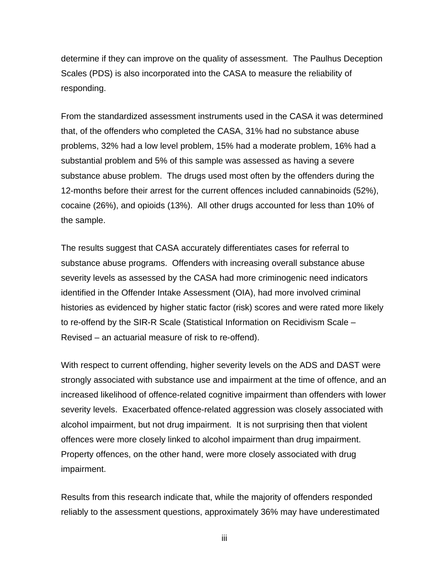determine if they can improve on the quality of assessment. The Paulhus Deception Scales (PDS) is also incorporated into the CASA to measure the reliability of responding.

From the standardized assessment instruments used in the CASA it was determined that, of the offenders who completed the CASA, 31% had no substance abuse problems, 32% had a low level problem, 15% had a moderate problem, 16% had a substantial problem and 5% of this sample was assessed as having a severe substance abuse problem. The drugs used most often by the offenders during the 12-months before their arrest for the current offences included cannabinoids (52%), cocaine (26%), and opioids (13%). All other drugs accounted for less than 10% of the sample.

The results suggest that CASA accurately differentiates cases for referral to substance abuse programs. Offenders with increasing overall substance abuse severity levels as assessed by the CASA had more criminogenic need indicators identified in the Offender Intake Assessment (OIA), had more involved criminal histories as evidenced by higher static factor (risk) scores and were rated more likely to re-offend by the SIR-R Scale (Statistical Information on Recidivism Scale – Revised – an actuarial measure of risk to re-offend).

With respect to current offending, higher severity levels on the ADS and DAST were strongly associated with substance use and impairment at the time of offence, and an increased likelihood of offence-related cognitive impairment than offenders with lower severity levels. Exacerbated offence-related aggression was closely associated with alcohol impairment, but not drug impairment. It is not surprising then that violent offences were more closely linked to alcohol impairment than drug impairment. Property offences, on the other hand, were more closely associated with drug impairment.

Results from this research indicate that, while the majority of offenders responded reliably to the assessment questions, approximately 36% may have underestimated

iii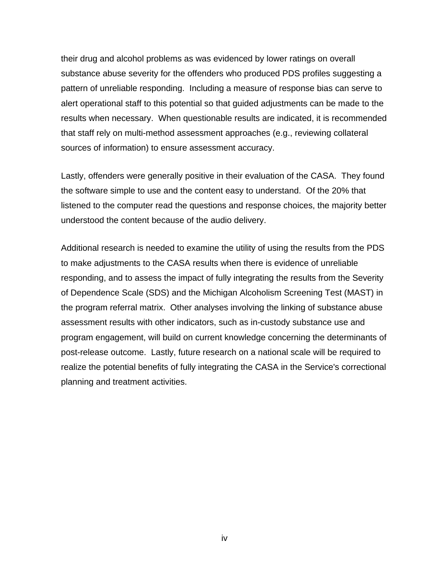their drug and alcohol problems as was evidenced by lower ratings on overall substance abuse severity for the offenders who produced PDS profiles suggesting a pattern of unreliable responding. Including a measure of response bias can serve to alert operational staff to this potential so that guided adjustments can be made to the results when necessary. When questionable results are indicated, it is recommended that staff rely on multi-method assessment approaches (e.g., reviewing collateral sources of information) to ensure assessment accuracy.

Lastly, offenders were generally positive in their evaluation of the CASA. They found the software simple to use and the content easy to understand. Of the 20% that listened to the computer read the questions and response choices, the majority better understood the content because of the audio delivery.

Additional research is needed to examine the utility of using the results from the PDS to make adjustments to the CASA results when there is evidence of unreliable responding, and to assess the impact of fully integrating the results from the Severity of Dependence Scale (SDS) and the Michigan Alcoholism Screening Test (MAST) in the program referral matrix. Other analyses involving the linking of substance abuse assessment results with other indicators, such as in-custody substance use and program engagement, will build on current knowledge concerning the determinants of post-release outcome. Lastly, future research on a national scale will be required to realize the potential benefits of fully integrating the CASA in the Service's correctional planning and treatment activities.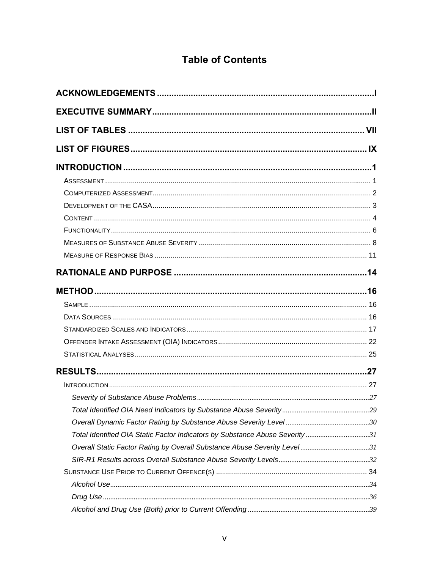# **Table of Contents**

| LIST OF TABLES ………………………………………………………………………………………… VII                       |  |
|-----------------------------------------------------------------------------|--|
|                                                                             |  |
|                                                                             |  |
|                                                                             |  |
|                                                                             |  |
|                                                                             |  |
|                                                                             |  |
|                                                                             |  |
|                                                                             |  |
|                                                                             |  |
|                                                                             |  |
|                                                                             |  |
|                                                                             |  |
|                                                                             |  |
|                                                                             |  |
|                                                                             |  |
|                                                                             |  |
|                                                                             |  |
|                                                                             |  |
|                                                                             |  |
|                                                                             |  |
|                                                                             |  |
| Total Identified OIA Static Factor Indicators by Substance Abuse Severity31 |  |
| Overall Static Factor Rating by Overall Substance Abuse Severity Level31    |  |
|                                                                             |  |
|                                                                             |  |
|                                                                             |  |
|                                                                             |  |
|                                                                             |  |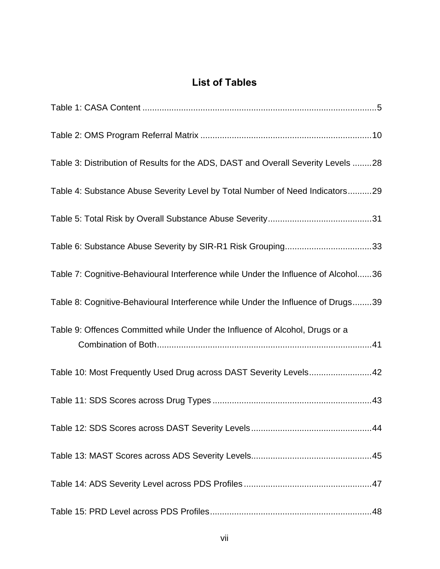# **List of Tables**

<span id="page-8-0"></span>

| Table 3: Distribution of Results for the ADS, DAST and Overall Severity Levels 28  |
|------------------------------------------------------------------------------------|
| Table 4: Substance Abuse Severity Level by Total Number of Need Indicators29       |
|                                                                                    |
| Table 6: Substance Abuse Severity by SIR-R1 Risk Grouping33                        |
| Table 7: Cognitive-Behavioural Interference while Under the Influence of Alcohol36 |
| Table 8: Cognitive-Behavioural Interference while Under the Influence of Drugs39   |
| Table 9: Offences Committed while Under the Influence of Alcohol, Drugs or a       |
| Table 10: Most Frequently Used Drug across DAST Severity Levels42                  |
|                                                                                    |
|                                                                                    |
|                                                                                    |
|                                                                                    |
|                                                                                    |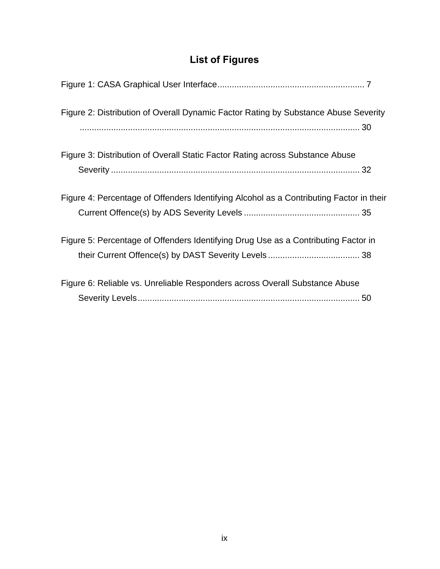# **List of Figures**

<span id="page-10-0"></span>

| Figure 2: Distribution of Overall Dynamic Factor Rating by Substance Abuse Severity     |
|-----------------------------------------------------------------------------------------|
| Figure 3: Distribution of Overall Static Factor Rating across Substance Abuse           |
| Figure 4: Percentage of Offenders Identifying Alcohol as a Contributing Factor in their |
| Figure 5: Percentage of Offenders Identifying Drug Use as a Contributing Factor in      |
| Figure 6: Reliable vs. Unreliable Responders across Overall Substance Abuse             |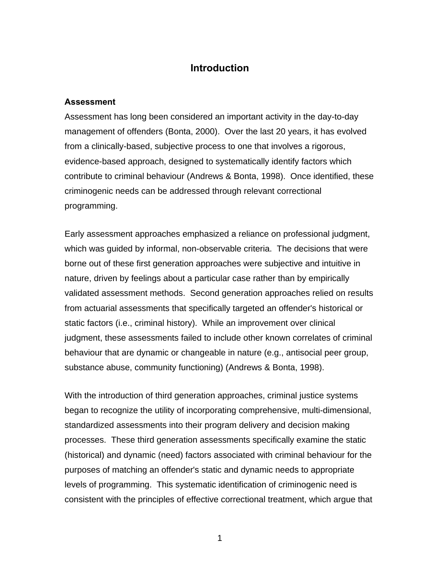# **Introduction**

#### <span id="page-11-0"></span>**Assessment**

Assessment has long been considered an important activity in the day-to-day management of offenders (Bonta, 2000). Over the last 20 years, it has evolved from a clinically-based, subjective process to one that involves a rigorous, evidence-based approach, designed to systematically identify factors which contribute to criminal behaviour (Andrews & Bonta, 1998). Once identified, these criminogenic needs can be addressed through relevant correctional programming.

Early assessment approaches emphasized a reliance on professional judgment, which was guided by informal, non-observable criteria. The decisions that were borne out of these first generation approaches were subjective and intuitive in nature, driven by feelings about a particular case rather than by empirically validated assessment methods. Second generation approaches relied on results from actuarial assessments that specifically targeted an offender's historical or static factors (i.e., criminal history). While an improvement over clinical judgment, these assessments failed to include other known correlates of criminal behaviour that are dynamic or changeable in nature (e.g., antisocial peer group, substance abuse, community functioning) (Andrews & Bonta, 1998).

With the introduction of third generation approaches, criminal justice systems began to recognize the utility of incorporating comprehensive, multi-dimensional, standardized assessments into their program delivery and decision making processes. These third generation assessments specifically examine the static (historical) and dynamic (need) factors associated with criminal behaviour for the purposes of matching an offender's static and dynamic needs to appropriate levels of programming. This systematic identification of criminogenic need is consistent with the principles of effective correctional treatment, which argue that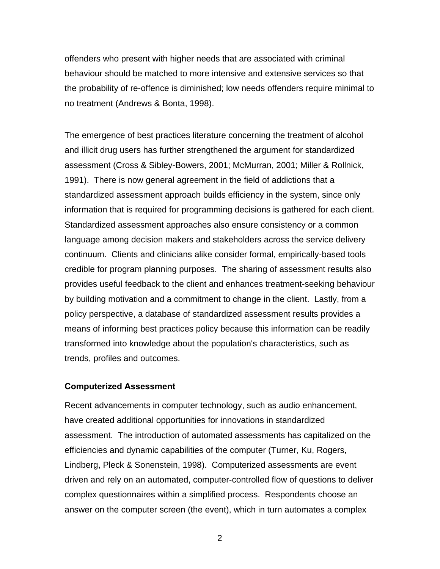<span id="page-12-0"></span>offenders who present with higher needs that are associated with criminal behaviour should be matched to more intensive and extensive services so that the probability of re-offence is diminished; low needs offenders require minimal to no treatment (Andrews & Bonta, 1998).

The emergence of best practices literature concerning the treatment of alcohol and illicit drug users has further strengthened the argument for standardized assessment (Cross & Sibley-Bowers, 2001; McMurran, 2001; Miller & Rollnick, 1991). There is now general agreement in the field of addictions that a standardized assessment approach builds efficiency in the system, since only information that is required for programming decisions is gathered for each client. Standardized assessment approaches also ensure consistency or a common language among decision makers and stakeholders across the service delivery continuum. Clients and clinicians alike consider formal, empirically-based tools credible for program planning purposes. The sharing of assessment results also provides useful feedback to the client and enhances treatment-seeking behaviour by building motivation and a commitment to change in the client. Lastly, from a policy perspective, a database of standardized assessment results provides a means of informing best practices policy because this information can be readily transformed into knowledge about the population's characteristics, such as trends, profiles and outcomes.

#### **Computerized Assessment**

Recent advancements in computer technology, such as audio enhancement, have created additional opportunities for innovations in standardized assessment. The introduction of automated assessments has capitalized on the efficiencies and dynamic capabilities of the computer (Turner, Ku, Rogers, Lindberg, Pleck & Sonenstein, 1998). Computerized assessments are event driven and rely on an automated, computer-controlled flow of questions to deliver complex questionnaires within a simplified process. Respondents choose an answer on the computer screen (the event), which in turn automates a complex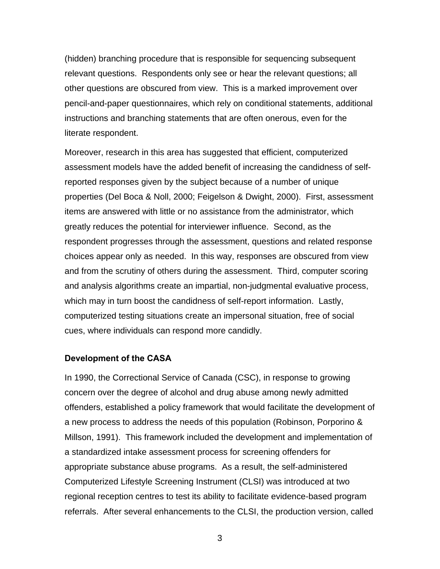<span id="page-13-0"></span>(hidden) branching procedure that is responsible for sequencing subsequent relevant questions. Respondents only see or hear the relevant questions; all other questions are obscured from view. This is a marked improvement over pencil-and-paper questionnaires, which rely on conditional statements, additional instructions and branching statements that are often onerous, even for the literate respondent.

Moreover, research in this area has suggested that efficient, computerized assessment models have the added benefit of increasing the candidness of selfreported responses given by the subject because of a number of unique properties (Del Boca & Noll, 2000; Feigelson & Dwight, 2000). First, assessment items are answered with little or no assistance from the administrator, which greatly reduces the potential for interviewer influence. Second, as the respondent progresses through the assessment, questions and related response choices appear only as needed. In this way, responses are obscured from view and from the scrutiny of others during the assessment. Third, computer scoring and analysis algorithms create an impartial, non-judgmental evaluative process, which may in turn boost the candidness of self-report information. Lastly, computerized testing situations create an impersonal situation, free of social cues, where individuals can respond more candidly.

#### **Development of the CASA**

In 1990, the Correctional Service of Canada (CSC), in response to growing concern over the degree of alcohol and drug abuse among newly admitted offenders, established a policy framework that would facilitate the development of a new process to address the needs of this population (Robinson, Porporino & Millson, 1991). This framework included the development and implementation of a standardized intake assessment process for screening offenders for appropriate substance abuse programs. As a result, the self-administered Computerized Lifestyle Screening Instrument (CLSI) was introduced at two regional reception centres to test its ability to facilitate evidence-based program referrals. After several enhancements to the CLSI, the production version, called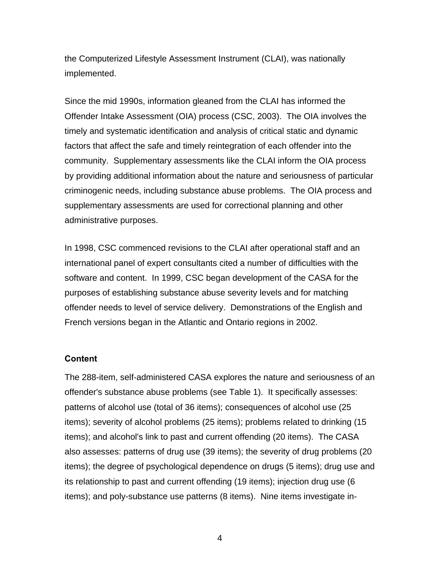<span id="page-14-0"></span>the Computerized Lifestyle Assessment Instrument (CLAI), was nationally implemented.

Since the mid 1990s, information gleaned from the CLAI has informed the Offender Intake Assessment (OIA) process (CSC, 2003). The OIA involves the timely and systematic identification and analysis of critical static and dynamic factors that affect the safe and timely reintegration of each offender into the community. Supplementary assessments like the CLAI inform the OIA process by providing additional information about the nature and seriousness of particular criminogenic needs, including substance abuse problems. The OIA process and supplementary assessments are used for correctional planning and other administrative purposes.

In 1998, CSC commenced revisions to the CLAI after operational staff and an international panel of expert consultants cited a number of difficulties with the software and content. In 1999, CSC began development of the CASA for the purposes of establishing substance abuse severity levels and for matching offender needs to level of service delivery. Demonstrations of the English and French versions began in the Atlantic and Ontario regions in 2002.

#### **Content**

The 288-item, self-administered CASA explores the nature and seriousness of an offender's substance abuse problems (see Table 1). It specifically assesses: patterns of alcohol use (total of 36 items); consequences of alcohol use (25 items); severity of alcohol problems (25 items); problems related to drinking (15 items); and alcohol's link to past and current offending (20 items). The CASA also assesses: patterns of drug use (39 items); the severity of drug problems (20 items); the degree of psychological dependence on drugs (5 items); drug use and its relationship to past and current offending (19 items); injection drug use (6 items); and poly-substance use patterns (8 items). Nine items investigate in-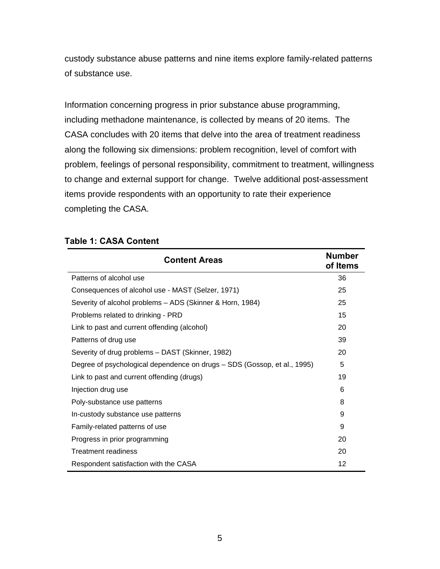<span id="page-15-0"></span>custody substance abuse patterns and nine items explore family-related patterns of substance use.

Information concerning progress in prior substance abuse programming, including methadone maintenance, is collected by means of 20 items. The CASA concludes with 20 items that delve into the area of treatment readiness along the following six dimensions: problem recognition, level of comfort with problem, feelings of personal responsibility, commitment to treatment, willingness to change and external support for change. Twelve additional post-assessment items provide respondents with an opportunity to rate their experience completing the CASA.

#### **Table 1: CASA Content**

| <b>Content Areas</b>                                                     |    |  |  |
|--------------------------------------------------------------------------|----|--|--|
| Patterns of alcohol use                                                  | 36 |  |  |
| Consequences of alcohol use - MAST (Selzer, 1971)                        | 25 |  |  |
| Severity of alcohol problems - ADS (Skinner & Horn, 1984)                | 25 |  |  |
| Problems related to drinking - PRD                                       | 15 |  |  |
| Link to past and current offending (alcohol)                             | 20 |  |  |
| Patterns of drug use                                                     | 39 |  |  |
| Severity of drug problems - DAST (Skinner, 1982)                         | 20 |  |  |
| Degree of psychological dependence on drugs - SDS (Gossop, et al., 1995) | 5  |  |  |
| Link to past and current offending (drugs)                               | 19 |  |  |
| Injection drug use                                                       | 6  |  |  |
| Poly-substance use patterns                                              | 8  |  |  |
| In-custody substance use patterns                                        | 9  |  |  |
| Family-related patterns of use                                           | 9  |  |  |
| Progress in prior programming                                            | 20 |  |  |
| Treatment readiness                                                      | 20 |  |  |
| Respondent satisfaction with the CASA                                    | 12 |  |  |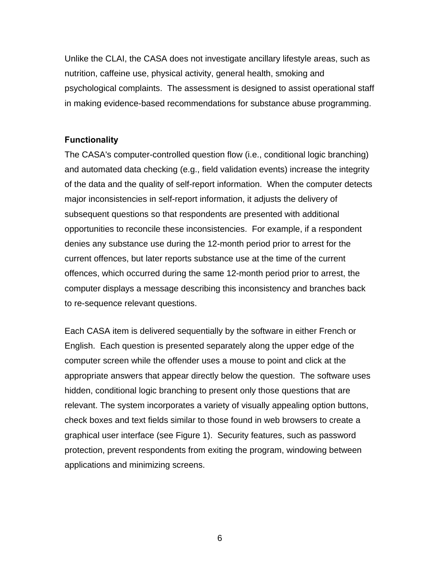<span id="page-16-0"></span>Unlike the CLAI, the CASA does not investigate ancillary lifestyle areas, such as nutrition, caffeine use, physical activity, general health, smoking and psychological complaints. The assessment is designed to assist operational staff in making evidence-based recommendations for substance abuse programming.

#### **Functionality**

The CASA's computer-controlled question flow (i.e., conditional logic branching) and automated data checking (e.g., field validation events) increase the integrity of the data and the quality of self-report information. When the computer detects major inconsistencies in self-report information, it adjusts the delivery of subsequent questions so that respondents are presented with additional opportunities to reconcile these inconsistencies. For example, if a respondent denies any substance use during the 12-month period prior to arrest for the current offences, but later reports substance use at the time of the current offences, which occurred during the same 12-month period prior to arrest, the computer displays a message describing this inconsistency and branches back to re-sequence relevant questions.

Each CASA item is delivered sequentially by the software in either French or English. Each question is presented separately along the upper edge of the computer screen while the offender uses a mouse to point and click at the appropriate answers that appear directly below the question. The software uses hidden, conditional logic branching to present only those questions that are relevant. The system incorporates a variety of visually appealing option buttons, check boxes and text fields similar to those found in web browsers to create a graphical user interface (see Figure 1). Security features, such as password protection, prevent respondents from exiting the program, windowing between applications and minimizing screens.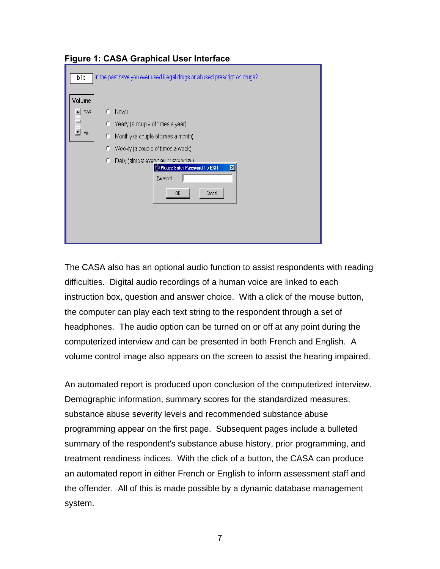| b <sub>1</sub> b                  | In the past have you ever used illegal drugs or abused prescription drugs?                                                                                                                                                                                            |
|-----------------------------------|-----------------------------------------------------------------------------------------------------------------------------------------------------------------------------------------------------------------------------------------------------------------------|
| Volume<br><b>MAX</b><br>▾╎<br>MIN | Never<br>C<br>Yearly (a couple of times a year)<br>C.<br>Monthly (a couple of times a month)<br>C<br>Weekly (a couple of times a week)<br>C<br>Daily (almost everydav or everydav)<br>C<br>Please Enter Password To EXIT<br>$\mathsf{x}$<br>Password:<br>Cancel<br>0K |

<span id="page-17-0"></span>**Figure 1: CASA Graphical User Interface** 

The CASA also has an optional audio function to assist respondents with reading difficulties. Digital audio recordings of a human voice are linked to each instruction box, question and answer choice. With a click of the mouse button, the computer can play each text string to the respondent through a set of headphones. The audio option can be turned on or off at any point during the computerized interview and can be presented in both French and English. A volume control image also appears on the screen to assist the hearing impaired.

An automated report is produced upon conclusion of the computerized interview. Demographic information, summary scores for the standardized measures, substance abuse severity levels and recommended substance abuse programming appear on the first page. Subsequent pages include a bulleted summary of the respondent's substance abuse history, prior programming, and treatment readiness indices. With the click of a button, the CASA can produce an automated report in either French or English to inform assessment staff and the offender. All of this is made possible by a dynamic database management system.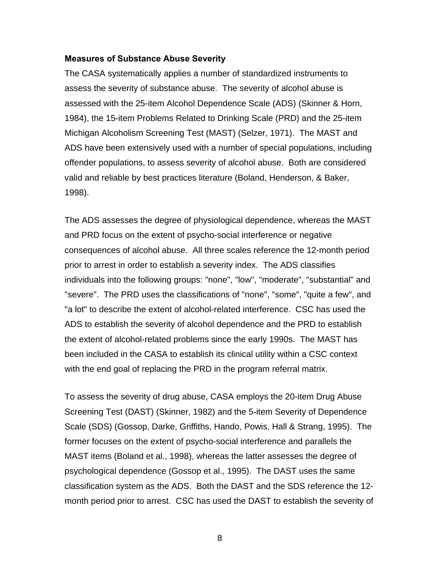#### <span id="page-18-0"></span>**Measures of Substance Abuse Severity**

The CASA systematically applies a number of standardized instruments to assess the severity of substance abuse. The severity of alcohol abuse is assessed with the 25-item Alcohol Dependence Scale (ADS) (Skinner & Horn, 1984), the 15-item Problems Related to Drinking Scale (PRD) and the 25-item Michigan Alcoholism Screening Test (MAST) (Selzer, 1971). The MAST and ADS have been extensively used with a number of special populations, including offender populations, to assess severity of alcohol abuse. Both are considered valid and reliable by best practices literature (Boland, Henderson, & Baker, 1998).

The ADS assesses the degree of physiological dependence, whereas the MAST and PRD focus on the extent of psycho-social interference or negative consequences of alcohol abuse. All three scales reference the 12-month period prior to arrest in order to establish a severity index. The ADS classifies individuals into the following groups: "none", "low", "moderate", "substantial" and "severe". The PRD uses the classifications of "none", "some", "quite a few", and "a lot" to describe the extent of alcohol-related interference. CSC has used the ADS to establish the severity of alcohol dependence and the PRD to establish the extent of alcohol-related problems since the early 1990s. The MAST has been included in the CASA to establish its clinical utility within a CSC context with the end goal of replacing the PRD in the program referral matrix.

To assess the severity of drug abuse, CASA employs the 20-item Drug Abuse Screening Test (DAST) (Skinner, 1982) and the 5-item Severity of Dependence Scale (SDS) (Gossop, Darke, Griffiths, Hando, Powis, Hall & Strang, 1995). The former focuses on the extent of psycho-social interference and parallels the MAST items (Boland et al., 1998), whereas the latter assesses the degree of psychological dependence (Gossop et al., 1995). The DAST uses the same classification system as the ADS. Both the DAST and the SDS reference the 12 month period prior to arrest. CSC has used the DAST to establish the severity of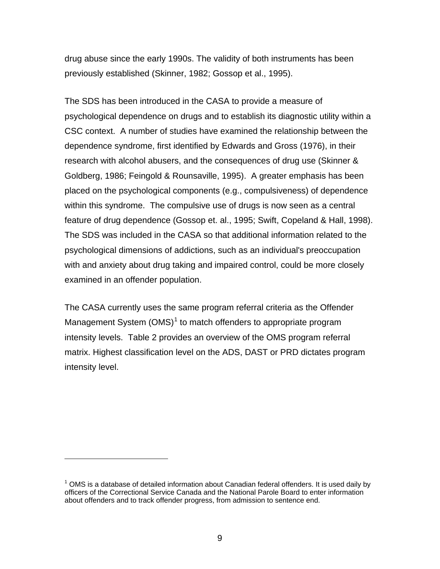drug abuse since the early 1990s. The validity of both instruments has been previously established (Skinner, 1982; Gossop et al., 1995).

The SDS has been introduced in the CASA to provide a measure of psychological dependence on drugs and to establish its diagnostic utility within a CSC context. A number of studies have examined the relationship between the dependence syndrome, first identified by Edwards and Gross (1976), in their research with alcohol abusers, and the consequences of drug use (Skinner & Goldberg, 1986; Feingold & Rounsaville, 1995). A greater emphasis has been placed on the psychological components (e.g., compulsiveness) of dependence within this syndrome. The compulsive use of drugs is now seen as a central feature of drug dependence (Gossop et. al., 1995; Swift, Copeland & Hall, 1998). The SDS was included in the CASA so that additional information related to the psychological dimensions of addictions, such as an individual's preoccupation with and anxiety about drug taking and impaired control, could be more closely examined in an offender population.

The CASA currently uses the same program referral criteria as the Offender Management System  $(OMS)^1$  $(OMS)^1$  to match offenders to appropriate program intensity levels. Table 2 provides an overview of the OMS program referral matrix. Highest classification level on the ADS, DAST or PRD dictates program intensity level.

 $\overline{a}$ 

<span id="page-19-0"></span> $1$  OMS is a database of detailed information about Canadian federal offenders. It is used daily by officers of the Correctional Service Canada and the National Parole Board to enter information about offenders and to track offender progress, from admission to sentence end.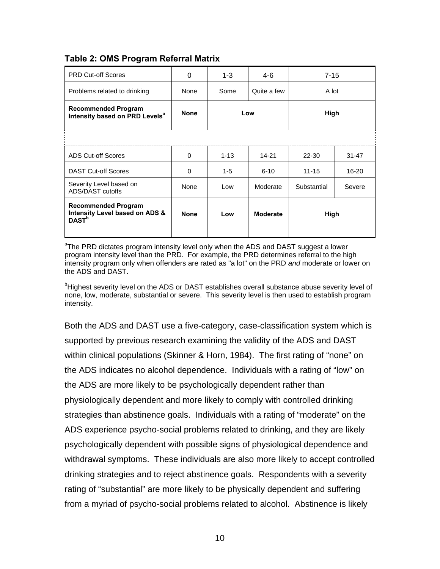<span id="page-20-0"></span>**Table 2: OMS Program Referral Matrix** 

| <b>PRD Cut-off Scores</b>                                                         | 0           | $1 - 3$     | 4-6             | $7 - 15$    |           |
|-----------------------------------------------------------------------------------|-------------|-------------|-----------------|-------------|-----------|
| Problems related to drinking                                                      | None        | Some        | Quite a few     | A lot       |           |
| <b>Recommended Program</b><br>Intensity based on PRD Levels <sup>a</sup>          | <b>None</b> | High<br>Low |                 |             |           |
|                                                                                   |             |             |                 |             |           |
| <b>ADS Cut-off Scores</b>                                                         | 0           | $1 - 13$    | 14-21           | 22-30       | $31 - 47$ |
| <b>DAST Cut-off Scores</b>                                                        | 0           | $1-5$       | $6 - 10$        | $11 - 15$   | $16 - 20$ |
| Severity Level based on<br>ADS/DAST cutoffs                                       | None        | Low         | Moderate        | Substantial | Severe    |
| <b>Recommended Program</b><br>Intensity Level based on ADS &<br>DAST <sup>b</sup> | <b>None</b> | Low         | <b>Moderate</b> | High        |           |

<sup>a</sup>The PRD dictates program intensity level only when the ADS and DAST suggest a lower program intensity level than the PRD. For example, the PRD determines referral to the high intensity program only when offenders are rated as "a lot" on the PRD *and* moderate or lower on the ADS and DAST.

<sup>b</sup>Highest severity level on the ADS or DAST establishes overall substance abuse severity level of none, low, moderate, substantial or severe. This severity level is then used to establish program intensity.

Both the ADS and DAST use a five-category, case-classification system which is supported by previous research examining the validity of the ADS and DAST within clinical populations (Skinner & Horn, 1984). The first rating of "none" on the ADS indicates no alcohol dependence. Individuals with a rating of "low" on the ADS are more likely to be psychologically dependent rather than physiologically dependent and more likely to comply with controlled drinking strategies than abstinence goals. Individuals with a rating of "moderate" on the ADS experience psycho-social problems related to drinking, and they are likely psychologically dependent with possible signs of physiological dependence and withdrawal symptoms. These individuals are also more likely to accept controlled drinking strategies and to reject abstinence goals. Respondents with a severity rating of "substantial" are more likely to be physically dependent and suffering from a myriad of psycho-social problems related to alcohol. Abstinence is likely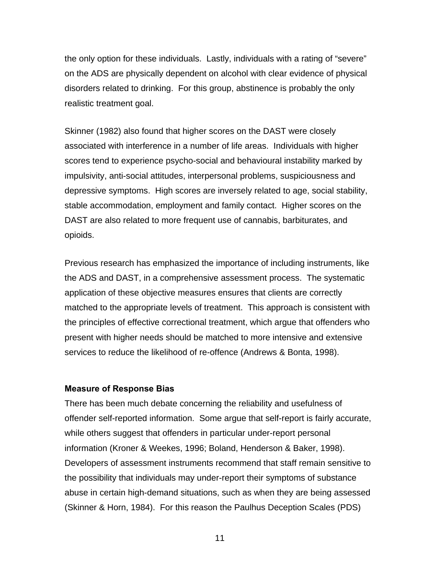<span id="page-21-0"></span>the only option for these individuals. Lastly, individuals with a rating of "severe" on the ADS are physically dependent on alcohol with clear evidence of physical disorders related to drinking. For this group, abstinence is probably the only realistic treatment goal.

Skinner (1982) also found that higher scores on the DAST were closely associated with interference in a number of life areas. Individuals with higher scores tend to experience psycho-social and behavioural instability marked by impulsivity, anti-social attitudes, interpersonal problems, suspiciousness and depressive symptoms. High scores are inversely related to age, social stability, stable accommodation, employment and family contact. Higher scores on the DAST are also related to more frequent use of cannabis, barbiturates, and opioids.

Previous research has emphasized the importance of including instruments, like the ADS and DAST, in a comprehensive assessment process. The systematic application of these objective measures ensures that clients are correctly matched to the appropriate levels of treatment. This approach is consistent with the principles of effective correctional treatment, which argue that offenders who present with higher needs should be matched to more intensive and extensive services to reduce the likelihood of re-offence (Andrews & Bonta, 1998).

#### **Measure of Response Bias**

There has been much debate concerning the reliability and usefulness of offender self-reported information. Some argue that self-report is fairly accurate, while others suggest that offenders in particular under-report personal information (Kroner & Weekes, 1996; Boland, Henderson & Baker, 1998). Developers of assessment instruments recommend that staff remain sensitive to the possibility that individuals may under-report their symptoms of substance abuse in certain high-demand situations, such as when they are being assessed (Skinner & Horn, 1984). For this reason the Paulhus Deception Scales (PDS)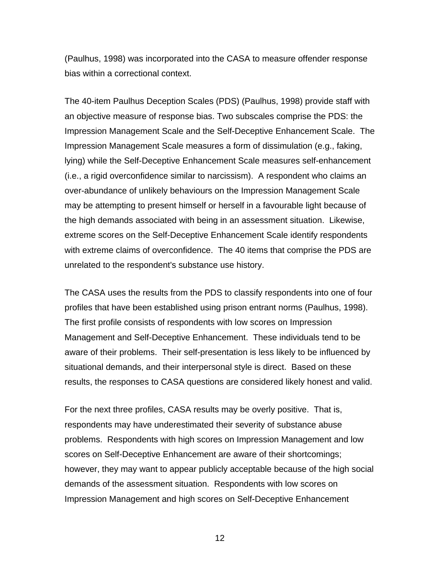(Paulhus, 1998) was incorporated into the CASA to measure offender response bias within a correctional context.

The 40-item Paulhus Deception Scales (PDS) (Paulhus, 1998) provide staff with an objective measure of response bias. Two subscales comprise the PDS: the Impression Management Scale and the Self-Deceptive Enhancement Scale. The Impression Management Scale measures a form of dissimulation (e.g., faking, lying) while the Self-Deceptive Enhancement Scale measures self-enhancement (i.e., a rigid overconfidence similar to narcissism). A respondent who claims an over-abundance of unlikely behaviours on the Impression Management Scale may be attempting to present himself or herself in a favourable light because of the high demands associated with being in an assessment situation. Likewise, extreme scores on the Self-Deceptive Enhancement Scale identify respondents with extreme claims of overconfidence. The 40 items that comprise the PDS are unrelated to the respondent's substance use history.

The CASA uses the results from the PDS to classify respondents into one of four profiles that have been established using prison entrant norms (Paulhus, 1998). The first profile consists of respondents with low scores on Impression Management and Self-Deceptive Enhancement. These individuals tend to be aware of their problems. Their self-presentation is less likely to be influenced by situational demands, and their interpersonal style is direct. Based on these results, the responses to CASA questions are considered likely honest and valid.

For the next three profiles, CASA results may be overly positive. That is, respondents may have underestimated their severity of substance abuse problems. Respondents with high scores on Impression Management and low scores on Self-Deceptive Enhancement are aware of their shortcomings; however, they may want to appear publicly acceptable because of the high social demands of the assessment situation. Respondents with low scores on Impression Management and high scores on Self-Deceptive Enhancement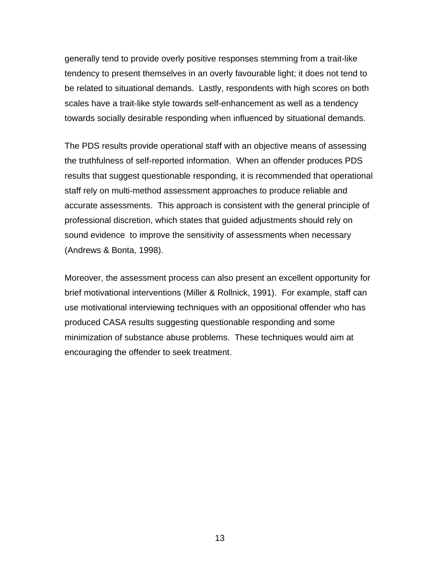generally tend to provide overly positive responses stemming from a trait-like tendency to present themselves in an overly favourable light; it does not tend to be related to situational demands. Lastly, respondents with high scores on both scales have a trait-like style towards self-enhancement as well as a tendency towards socially desirable responding when influenced by situational demands.

The PDS results provide operational staff with an objective means of assessing the truthfulness of self-reported information. When an offender produces PDS results that suggest questionable responding, it is recommended that operational staff rely on multi-method assessment approaches to produce reliable and accurate assessments. This approach is consistent with the general principle of professional discretion, which states that guided adjustments should rely on sound evidence to improve the sensitivity of assessments when necessary (Andrews & Bonta, 1998).

Moreover, the assessment process can also present an excellent opportunity for brief motivational interventions (Miller & Rollnick, 1991). For example, staff can use motivational interviewing techniques with an oppositional offender who has produced CASA results suggesting questionable responding and some minimization of substance abuse problems. These techniques would aim at encouraging the offender to seek treatment.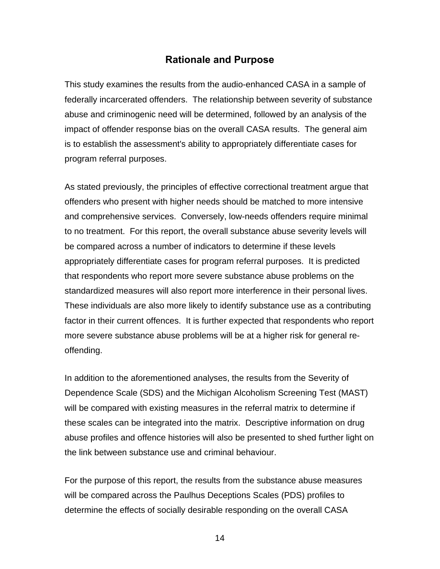# **Rationale and Purpose**

<span id="page-24-0"></span>This study examines the results from the audio-enhanced CASA in a sample of federally incarcerated offenders. The relationship between severity of substance abuse and criminogenic need will be determined, followed by an analysis of the impact of offender response bias on the overall CASA results. The general aim is to establish the assessment's ability to appropriately differentiate cases for program referral purposes.

As stated previously, the principles of effective correctional treatment argue that offenders who present with higher needs should be matched to more intensive and comprehensive services. Conversely, low-needs offenders require minimal to no treatment. For this report, the overall substance abuse severity levels will be compared across a number of indicators to determine if these levels appropriately differentiate cases for program referral purposes. It is predicted that respondents who report more severe substance abuse problems on the standardized measures will also report more interference in their personal lives. These individuals are also more likely to identify substance use as a contributing factor in their current offences. It is further expected that respondents who report more severe substance abuse problems will be at a higher risk for general reoffending.

In addition to the aforementioned analyses, the results from the Severity of Dependence Scale (SDS) and the Michigan Alcoholism Screening Test (MAST) will be compared with existing measures in the referral matrix to determine if these scales can be integrated into the matrix. Descriptive information on drug abuse profiles and offence histories will also be presented to shed further light on the link between substance use and criminal behaviour.

For the purpose of this report, the results from the substance abuse measures will be compared across the Paulhus Deceptions Scales (PDS) profiles to determine the effects of socially desirable responding on the overall CASA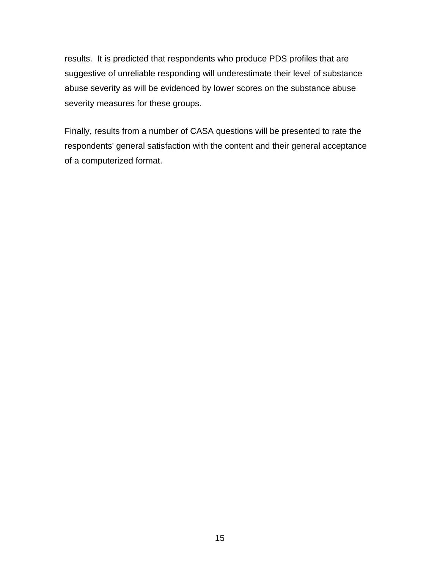results. It is predicted that respondents who produce PDS profiles that are suggestive of unreliable responding will underestimate their level of substance abuse severity as will be evidenced by lower scores on the substance abuse severity measures for these groups.

Finally, results from a number of CASA questions will be presented to rate the respondents' general satisfaction with the content and their general acceptance of a computerized format.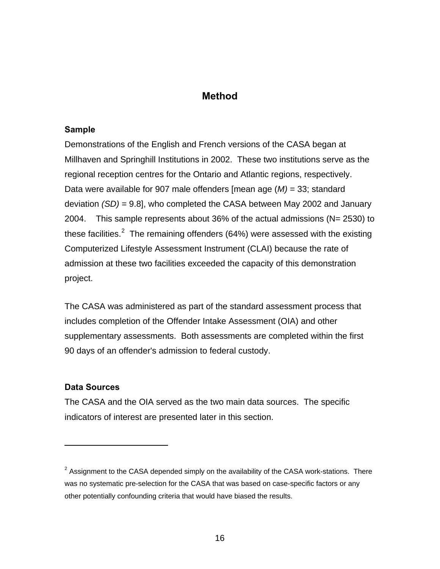# **Method**

#### <span id="page-26-0"></span>**Sample**

Demonstrations of the English and French versions of the CASA began at Millhaven and Springhill Institutions in 2002. These two institutions serve as the regional reception centres for the Ontario and Atlantic regions, respectively. Data were available for 907 male offenders [mean age (*M)* = 33; standard deviation *(SD)* = 9.8], who completed the CASA between May 2002 and January 2004. This sample represents about 36% of the actual admissions (N= 2530) to these facilities.<sup>[2](#page-26-1)</sup> The remaining offenders (64%) were assessed with the existing Computerized Lifestyle Assessment Instrument (CLAI) because the rate of admission at these two facilities exceeded the capacity of this demonstration project.

The CASA was administered as part of the standard assessment process that includes completion of the Offender Intake Assessment (OIA) and other supplementary assessments. Both assessments are completed within the first 90 days of an offender's admission to federal custody.

#### **Data Sources**

1

The CASA and the OIA served as the two main data sources. The specific indicators of interest are presented later in this section.

<span id="page-26-1"></span> $2$  Assignment to the CASA depended simply on the availability of the CASA work-stations. There was no systematic pre-selection for the CASA that was based on case-specific factors or any other potentially confounding criteria that would have biased the results.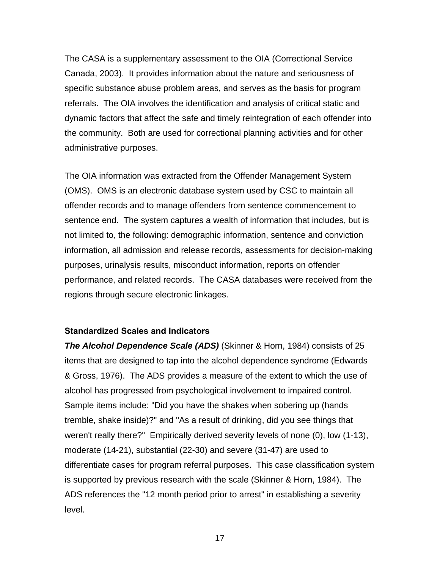<span id="page-27-0"></span>The CASA is a supplementary assessment to the OIA (Correctional Service Canada, 2003). It provides information about the nature and seriousness of specific substance abuse problem areas, and serves as the basis for program referrals. The OIA involves the identification and analysis of critical static and dynamic factors that affect the safe and timely reintegration of each offender into the community. Both are used for correctional planning activities and for other administrative purposes.

The OIA information was extracted from the Offender Management System (OMS). OMS is an electronic database system used by CSC to maintain all offender records and to manage offenders from sentence commencement to sentence end. The system captures a wealth of information that includes, but is not limited to, the following: demographic information, sentence and conviction information, all admission and release records, assessments for decision-making purposes, urinalysis results, misconduct information, reports on offender performance, and related records. The CASA databases were received from the regions through secure electronic linkages.

#### **Standardized Scales and Indicators**

*The Alcohol Dependence Scale (ADS)* (Skinner & Horn, 1984) consists of 25 items that are designed to tap into the alcohol dependence syndrome (Edwards & Gross, 1976). The ADS provides a measure of the extent to which the use of alcohol has progressed from psychological involvement to impaired control. Sample items include: "Did you have the shakes when sobering up (hands tremble, shake inside)?" and "As a result of drinking, did you see things that weren't really there?" Empirically derived severity levels of none (0), low (1-13), moderate (14-21), substantial (22-30) and severe (31-47) are used to differentiate cases for program referral purposes. This case classification system is supported by previous research with the scale (Skinner & Horn, 1984). The ADS references the "12 month period prior to arrest" in establishing a severity level.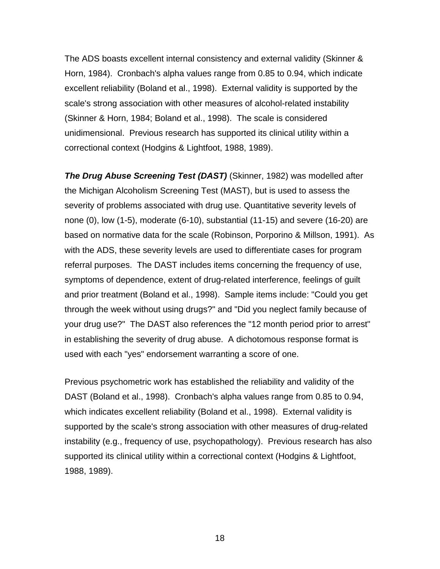The ADS boasts excellent internal consistency and external validity (Skinner & Horn, 1984). Cronbach's alpha values range from 0.85 to 0.94, which indicate excellent reliability (Boland et al., 1998). External validity is supported by the scale's strong association with other measures of alcohol-related instability (Skinner & Horn, 1984; Boland et al., 1998). The scale is considered unidimensional. Previous research has supported its clinical utility within a correctional context (Hodgins & Lightfoot, 1988, 1989).

*The Drug Abuse Screening Test (DAST)* (Skinner, 1982) was modelled after the Michigan Alcoholism Screening Test (MAST), but is used to assess the severity of problems associated with drug use. Quantitative severity levels of none (0), low (1-5), moderate (6-10), substantial (11-15) and severe (16-20) are based on normative data for the scale (Robinson, Porporino & Millson, 1991). As with the ADS, these severity levels are used to differentiate cases for program referral purposes. The DAST includes items concerning the frequency of use, symptoms of dependence, extent of drug-related interference, feelings of guilt and prior treatment (Boland et al., 1998). Sample items include: "Could you get through the week without using drugs?" and "Did you neglect family because of your drug use?" The DAST also references the "12 month period prior to arrest" in establishing the severity of drug abuse. A dichotomous response format is used with each "yes" endorsement warranting a score of one.

Previous psychometric work has established the reliability and validity of the DAST (Boland et al., 1998). Cronbach's alpha values range from 0.85 to 0.94, which indicates excellent reliability (Boland et al., 1998). External validity is supported by the scale's strong association with other measures of drug-related instability (e.g., frequency of use, psychopathology). Previous research has also supported its clinical utility within a correctional context (Hodgins & Lightfoot, 1988, 1989).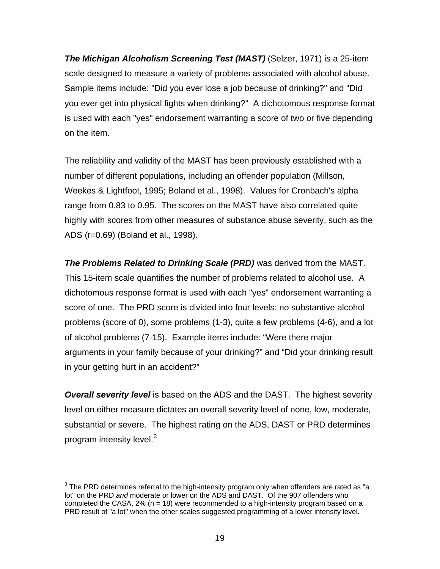*The Michigan Alcoholism Screening Test (MAST)* (Selzer, 1971) is a 25-item scale designed to measure a variety of problems associated with alcohol abuse. Sample items include: "Did you ever lose a job because of drinking?" and "Did you ever get into physical fights when drinking?" A dichotomous response format is used with each "yes" endorsement warranting a score of two or five depending on the item.

The reliability and validity of the MAST has been previously established with a number of different populations, including an offender population (Millson, Weekes & Lightfoot, 1995; Boland et al., 1998). Values for Cronbach's alpha range from 0.83 to 0.95. The scores on the MAST have also correlated quite highly with scores from other measures of substance abuse severity, such as the ADS (r=0.69) (Boland et al., 1998).

*The Problems Related to Drinking Scale (PRD)* was derived from the MAST. This 15-item scale quantifies the number of problems related to alcohol use. A dichotomous response format is used with each "yes" endorsement warranting a score of one. The PRD score is divided into four levels: no substantive alcohol problems (score of 0), some problems (1-3), quite a few problems (4-6), and a lot of alcohol problems (7-15). Example items include: "Were there major arguments in your family because of your drinking?" and "Did your drinking result in your getting hurt in an accident?"

*Overall severity level* is based on the ADS and the DAST. The highest severity level on either measure dictates an overall severity level of none, low, moderate, substantial or severe. The highest rating on the ADS, DAST or PRD determines program intensity level.<sup>[3](#page-29-0)</sup>

 $\overline{a}$ 

<span id="page-29-0"></span> $3$  The PRD determines referral to the high-intensity program only when offenders are rated as "a lot" on the PRD *and* moderate or lower on the ADS and DAST. Of the 907 offenders who completed the CASA,  $2\%$  (n = 18) were recommended to a high-intensity program based on a PRD result of "a lot" when the other scales suggested programming of a lower intensity level.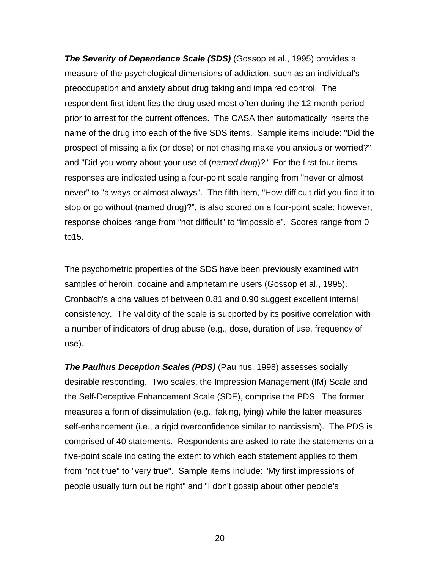*The Severity of Dependence Scale (SDS)* (Gossop et al., 1995) provides a measure of the psychological dimensions of addiction, such as an individual's preoccupation and anxiety about drug taking and impaired control. The respondent first identifies the drug used most often during the 12-month period prior to arrest for the current offences. The CASA then automatically inserts the name of the drug into each of the five SDS items. Sample items include: "Did the prospect of missing a fix (or dose) or not chasing make you anxious or worried?" and "Did you worry about your use of (*named drug*)?" For the first four items, responses are indicated using a four-point scale ranging from "never or almost never" to "always or almost always". The fifth item, "How difficult did you find it to stop or go without (named drug)?", is also scored on a four-point scale; however, response choices range from "not difficult" to "impossible". Scores range from 0 to15.

The psychometric properties of the SDS have been previously examined with samples of heroin, cocaine and amphetamine users (Gossop et al., 1995). Cronbach's alpha values of between 0.81 and 0.90 suggest excellent internal consistency. The validity of the scale is supported by its positive correlation with a number of indicators of drug abuse (e.g., dose, duration of use, frequency of use).

*The Paulhus Deception Scales (PDS)* (Paulhus, 1998) assesses socially desirable responding. Two scales, the Impression Management (IM) Scale and the Self-Deceptive Enhancement Scale (SDE), comprise the PDS. The former measures a form of dissimulation (e.g., faking, lying) while the latter measures self-enhancement (i.e., a rigid overconfidence similar to narcissism). The PDS is comprised of 40 statements. Respondents are asked to rate the statements on a five-point scale indicating the extent to which each statement applies to them from "not true" to "very true". Sample items include: "My first impressions of people usually turn out be right" and "I don't gossip about other people's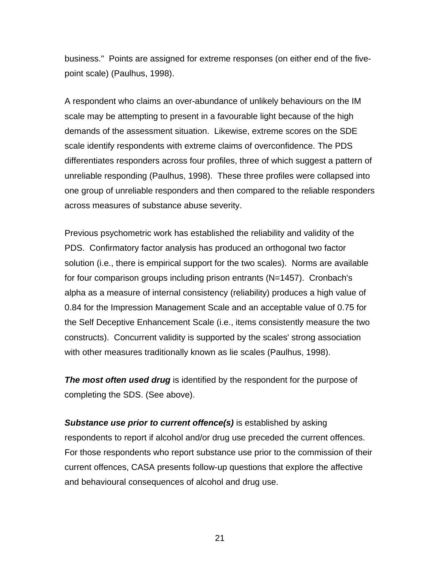business." Points are assigned for extreme responses (on either end of the fivepoint scale) (Paulhus, 1998).

A respondent who claims an over-abundance of unlikely behaviours on the IM scale may be attempting to present in a favourable light because of the high demands of the assessment situation. Likewise, extreme scores on the SDE scale identify respondents with extreme claims of overconfidence. The PDS differentiates responders across four profiles, three of which suggest a pattern of unreliable responding (Paulhus, 1998). These three profiles were collapsed into one group of unreliable responders and then compared to the reliable responders across measures of substance abuse severity.

Previous psychometric work has established the reliability and validity of the PDS. Confirmatory factor analysis has produced an orthogonal two factor solution (i.e., there is empirical support for the two scales). Norms are available for four comparison groups including prison entrants (N=1457). Cronbach's alpha as a measure of internal consistency (reliability) produces a high value of 0.84 for the Impression Management Scale and an acceptable value of 0.75 for the Self Deceptive Enhancement Scale (i.e., items consistently measure the two constructs). Concurrent validity is supported by the scales' strong association with other measures traditionally known as lie scales (Paulhus, 1998).

*The most often used drug* is identified by the respondent for the purpose of completing the SDS. (See above).

*Substance use prior to current offence(s)* is established by asking respondents to report if alcohol and/or drug use preceded the current offences. For those respondents who report substance use prior to the commission of their current offences, CASA presents follow-up questions that explore the affective and behavioural consequences of alcohol and drug use.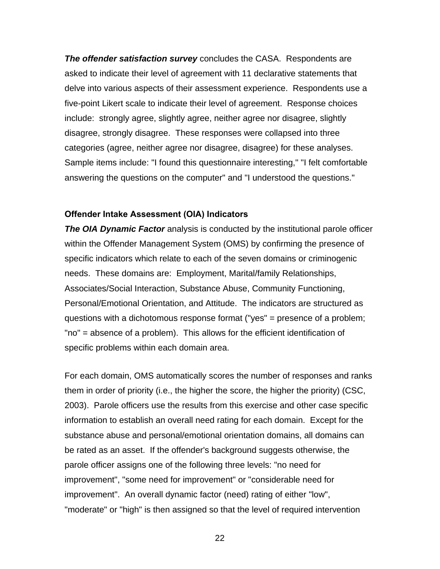<span id="page-32-0"></span>*The offender satisfaction survey* concludes the CASA. Respondents are asked to indicate their level of agreement with 11 declarative statements that delve into various aspects of their assessment experience. Respondents use a five-point Likert scale to indicate their level of agreement. Response choices include: strongly agree, slightly agree, neither agree nor disagree, slightly disagree, strongly disagree. These responses were collapsed into three categories (agree, neither agree nor disagree, disagree) for these analyses. Sample items include: "I found this questionnaire interesting," "I felt comfortable answering the questions on the computer" and "I understood the questions."

#### **Offender Intake Assessment (OIA) Indicators**

*The OIA Dynamic Factor* analysis is conducted by the institutional parole officer within the Offender Management System (OMS) by confirming the presence of specific indicators which relate to each of the seven domains or criminogenic needs. These domains are: Employment, Marital/family Relationships, Associates/Social Interaction, Substance Abuse, Community Functioning, Personal/Emotional Orientation, and Attitude. The indicators are structured as questions with a dichotomous response format ("yes" = presence of a problem; "no" = absence of a problem). This allows for the efficient identification of specific problems within each domain area.

For each domain, OMS automatically scores the number of responses and ranks them in order of priority (i.e., the higher the score, the higher the priority) (CSC, 2003). Parole officers use the results from this exercise and other case specific information to establish an overall need rating for each domain. Except for the substance abuse and personal/emotional orientation domains, all domains can be rated as an asset. If the offender's background suggests otherwise, the parole officer assigns one of the following three levels: "no need for improvement", "some need for improvement" or "considerable need for improvement". An overall dynamic factor (need) rating of either "low", "moderate" or "high" is then assigned so that the level of required intervention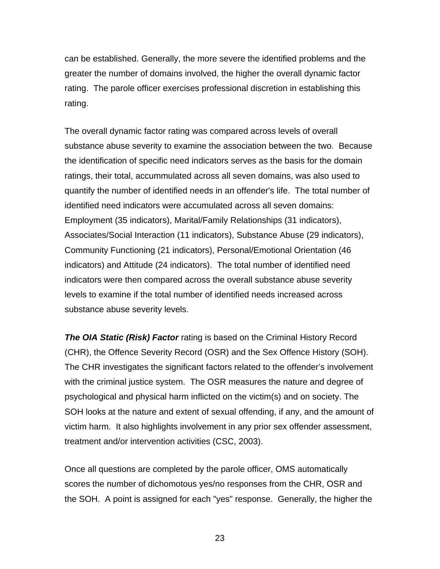can be established. Generally, the more severe the identified problems and the greater the number of domains involved, the higher the overall dynamic factor rating. The parole officer exercises professional discretion in establishing this rating.

The overall dynamic factor rating was compared across levels of overall substance abuse severity to examine the association between the two. Because the identification of specific need indicators serves as the basis for the domain ratings, their total, accummulated across all seven domains, was also used to quantify the number of identified needs in an offender's life. The total number of identified need indicators were accumulated across all seven domains: Employment (35 indicators), Marital/Family Relationships (31 indicators), Associates/Social Interaction (11 indicators), Substance Abuse (29 indicators), Community Functioning (21 indicators), Personal/Emotional Orientation (46 indicators) and Attitude (24 indicators). The total number of identified need indicators were then compared across the overall substance abuse severity levels to examine if the total number of identified needs increased across substance abuse severity levels.

*The OIA Static (Risk) Factor* rating is based on the Criminal History Record (CHR), the Offence Severity Record (OSR) and the Sex Offence History (SOH). The CHR investigates the significant factors related to the offender's involvement with the criminal justice system. The OSR measures the nature and degree of psychological and physical harm inflicted on the victim(s) and on society. The SOH looks at the nature and extent of sexual offending, if any, and the amount of victim harm. It also highlights involvement in any prior sex offender assessment, treatment and/or intervention activities (CSC, 2003).

Once all questions are completed by the parole officer, OMS automatically scores the number of dichomotous yes/no responses from the CHR, OSR and the SOH. A point is assigned for each "yes" response. Generally, the higher the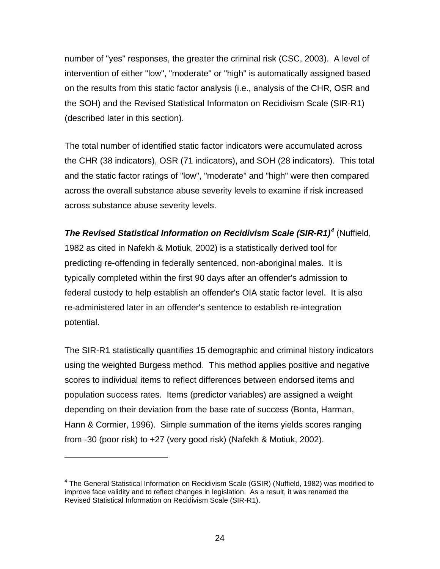number of "yes" responses, the greater the criminal risk (CSC, 2003). A level of intervention of either "low", "moderate" or "high" is automatically assigned based on the results from this static factor analysis (i.e., analysis of the CHR, OSR and the SOH) and the Revised Statistical Informaton on Recidivism Scale (SIR-R1) (described later in this section).

The total number of identified static factor indicators were accumulated across the CHR (38 indicators), OSR (71 indicators), and SOH (28 indicators). This total and the static factor ratings of "low", "moderate" and "high" were then compared across the overall substance abuse severity levels to examine if risk increased across substance abuse severity levels.

### **The Revised Statistical Information on Recidivism Scale (SIR-R1)<sup>[4](#page-34-0)</sup> (Nuffield,**

1982 as cited in Nafekh & Motiuk, 2002) is a statistically derived tool for predicting re-offending in federally sentenced, non-aboriginal males. It is typically completed within the first 90 days after an offender's admission to federal custody to help establish an offender's OIA static factor level. It is also re-administered later in an offender's sentence to establish re-integration potential.

The SIR-R1 statistically quantifies 15 demographic and criminal history indicators using the weighted Burgess method. This method applies positive and negative scores to individual items to reflect differences between endorsed items and population success rates. Items (predictor variables) are assigned a weight depending on their deviation from the base rate of success (Bonta, Harman, Hann & Cormier, 1996). Simple summation of the items yields scores ranging from -30 (poor risk) to +27 (very good risk) (Nafekh & Motiuk, 2002).

 $\overline{a}$ 

<span id="page-34-0"></span><sup>&</sup>lt;sup>4</sup> The General Statistical Information on Recidivism Scale (GSIR) (Nuffield, 1982) was modified to improve face validity and to reflect changes in legislation. As a result, it was renamed the Revised Statistical Information on Recidivism Scale (SIR-R1).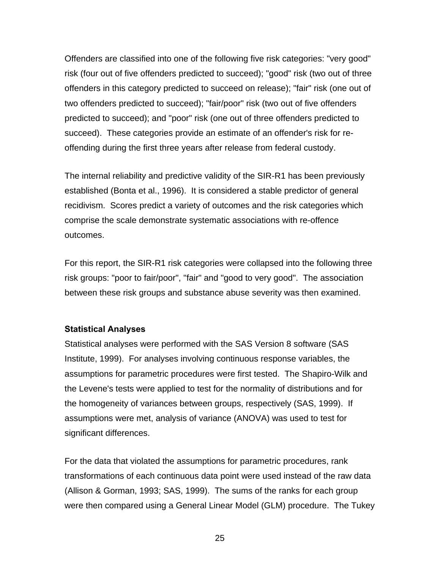<span id="page-35-0"></span>Offenders are classified into one of the following five risk categories: "very good" risk (four out of five offenders predicted to succeed); "good" risk (two out of three offenders in this category predicted to succeed on release); "fair" risk (one out of two offenders predicted to succeed); "fair/poor" risk (two out of five offenders predicted to succeed); and "poor" risk (one out of three offenders predicted to succeed). These categories provide an estimate of an offender's risk for reoffending during the first three years after release from federal custody.

The internal reliability and predictive validity of the SIR-R1 has been previously established (Bonta et al., 1996). It is considered a stable predictor of general recidivism. Scores predict a variety of outcomes and the risk categories which comprise the scale demonstrate systematic associations with re-offence outcomes.

For this report, the SIR-R1 risk categories were collapsed into the following three risk groups: "poor to fair/poor", "fair" and "good to very good". The association between these risk groups and substance abuse severity was then examined.

#### **Statistical Analyses**

Statistical analyses were performed with the SAS Version 8 software (SAS Institute, 1999). For analyses involving continuous response variables, the assumptions for parametric procedures were first tested. The Shapiro-Wilk and the Levene's tests were applied to test for the normality of distributions and for the homogeneity of variances between groups, respectively (SAS, 1999). If assumptions were met, analysis of variance (ANOVA) was used to test for significant differences.

For the data that violated the assumptions for parametric procedures, rank transformations of each continuous data point were used instead of the raw data (Allison & Gorman, 1993; SAS, 1999). The sums of the ranks for each group were then compared using a General Linear Model (GLM) procedure. The Tukey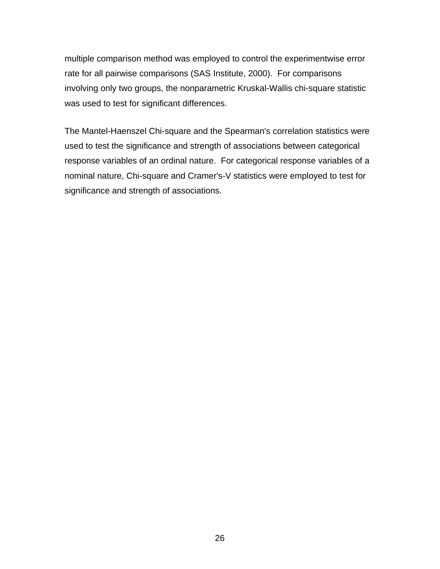multiple comparison method was employed to control the experimentwise error rate for all pairwise comparisons (SAS Institute, 2000). For comparisons involving only two groups, the nonparametric Kruskal-Wallis chi-square statistic was used to test for significant differences.

The Mantel-Haenszel Chi-square and the Spearman's correlation statistics were used to test the significance and strength of associations between categorical response variables of an ordinal nature. For categorical response variables of a nominal nature, Chi-square and Cramer's-V statistics were employed to test for significance and strength of associations.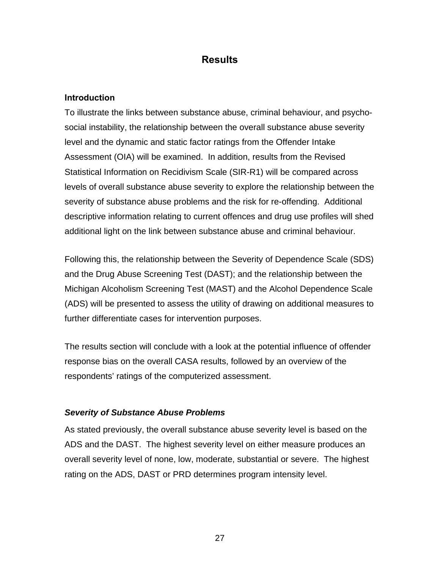# **Results**

# **Introduction**

To illustrate the links between substance abuse, criminal behaviour, and psychosocial instability, the relationship between the overall substance abuse severity level and the dynamic and static factor ratings from the Offender Intake Assessment (OIA) will be examined. In addition, results from the Revised Statistical Information on Recidivism Scale (SIR-R1) will be compared across levels of overall substance abuse severity to explore the relationship between the severity of substance abuse problems and the risk for re-offending. Additional descriptive information relating to current offences and drug use profiles will shed additional light on the link between substance abuse and criminal behaviour.

Following this, the relationship between the Severity of Dependence Scale (SDS) and the Drug Abuse Screening Test (DAST); and the relationship between the Michigan Alcoholism Screening Test (MAST) and the Alcohol Dependence Scale (ADS) will be presented to assess the utility of drawing on additional measures to further differentiate cases for intervention purposes.

The results section will conclude with a look at the potential influence of offender response bias on the overall CASA results, followed by an overview of the respondents' ratings of the computerized assessment.

# *Severity of Substance Abuse Problems*

As stated previously, the overall substance abuse severity level is based on the ADS and the DAST. The highest severity level on either measure produces an overall severity level of none, low, moderate, substantial or severe. The highest rating on the ADS, DAST or PRD determines program intensity level.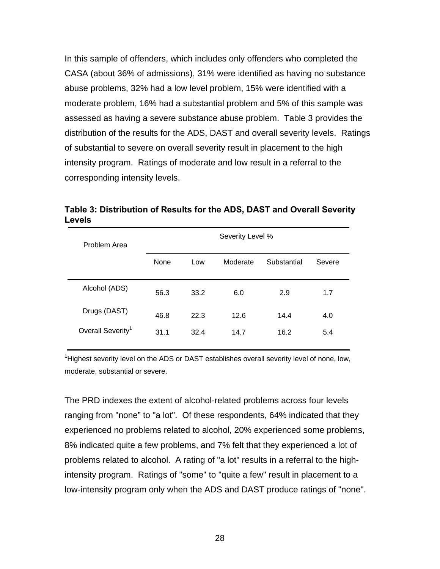In this sample of offenders, which includes only offenders who completed the CASA (about 36% of admissions), 31% were identified as having no substance abuse problems, 32% had a low level problem, 15% were identified with a moderate problem, 16% had a substantial problem and 5% of this sample was assessed as having a severe substance abuse problem. Table 3 provides the distribution of the results for the ADS, DAST and overall severity levels. Ratings of substantial to severe on overall severity result in placement to the high intensity program. Ratings of moderate and low result in a referral to the corresponding intensity levels.

**Table 3: Distribution of Results for the ADS, DAST and Overall Severity Levels** 

| Problem Area                  | Severity Level % |      |          |             |        |  |  |  |
|-------------------------------|------------------|------|----------|-------------|--------|--|--|--|
|                               | None             | Low  | Moderate | Substantial | Severe |  |  |  |
| Alcohol (ADS)                 | 56.3             | 33.2 | 6.0      | 2.9         | 1.7    |  |  |  |
| Drugs (DAST)                  | 46.8             | 22.3 | 12.6     | 14.4        | 4.0    |  |  |  |
| Overall Severity <sup>1</sup> | 31.1             | 32.4 | 14.7     | 16.2        | 5.4    |  |  |  |

<sup>1</sup>Highest severity level on the ADS or DAST establishes overall severity level of none, low, moderate, substantial or severe.

The PRD indexes the extent of alcohol-related problems across four levels ranging from "none" to "a lot". Of these respondents, 64% indicated that they experienced no problems related to alcohol, 20% experienced some problems, 8% indicated quite a few problems, and 7% felt that they experienced a lot of problems related to alcohol. A rating of "a lot" results in a referral to the highintensity program. Ratings of "some" to "quite a few" result in placement to a low-intensity program only when the ADS and DAST produce ratings of "none".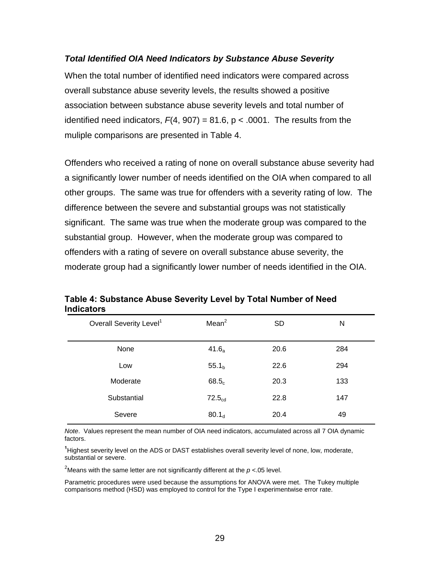## *Total Identified OIA Need Indicators by Substance Abuse Severity*

When the total number of identified need indicators were compared across overall substance abuse severity levels, the results showed a positive association between substance abuse severity levels and total number of identified need indicators,  $F(4, 907) = 81.6$ ,  $p < .0001$ . The results from the muliple comparisons are presented in Table 4.

Offenders who received a rating of none on overall substance abuse severity had a significantly lower number of needs identified on the OIA when compared to all other groups. The same was true for offenders with a severity rating of low. The difference between the severe and substantial groups was not statistically significant. The same was true when the moderate group was compared to the substantial group. However, when the moderate group was compared to offenders with a rating of severe on overall substance abuse severity, the moderate group had a significantly lower number of needs identified in the OIA.

| Overall Severity Level <sup>1</sup> | Mean <sup>2</sup>  | <b>SD</b> | N   |
|-------------------------------------|--------------------|-----------|-----|
| None                                | 41.6 <sub>a</sub>  | 20.6      | 284 |
| Low                                 | 55.1 <sub>b</sub>  | 22.6      | 294 |
| Moderate                            | 68.5 <sub>c</sub>  | 20.3      | 133 |
| Substantial                         | 72.5 <sub>cd</sub> | 22.8      | 147 |
| Severe                              | 80.1 <sub>d</sub>  | 20.4      | 49  |

**Table 4: Substance Abuse Severity Level by Total Number of Need Indicators** 

*Note*. Values represent the mean number of OIA need indicators, accumulated across all 7 OIA dynamic factors.

**1** Highest severity level on the ADS or DAST establishes overall severity level of none, low, moderate, substantial or severe.

<sup>2</sup>Means with the same letter are not significantly different at the  $p$  <.05 level.

Parametric procedures were used because the assumptions for ANOVA were met. The Tukey multiple comparisons method (HSD) was employed to control for the Type I experimentwise error rate.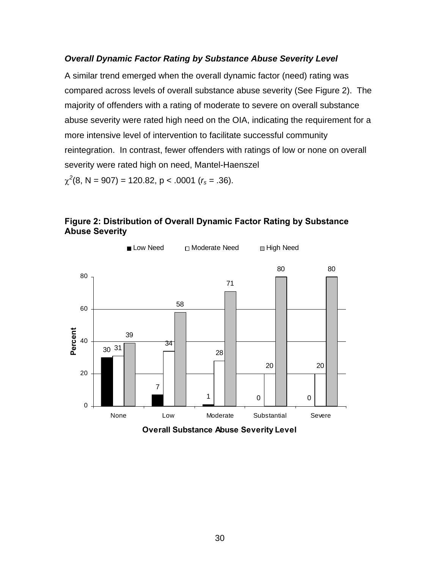## *Overall Dynamic Factor Rating by Substance Abuse Severity Level*

A similar trend emerged when the overall dynamic factor (need) rating was compared across levels of overall substance abuse severity (See Figure 2). The majority of offenders with a rating of moderate to severe on overall substance abuse severity were rated high need on the OIA, indicating the requirement for a more intensive level of intervention to facilitate successful community reintegration. In contrast, fewer offenders with ratings of low or none on overall severity were rated high on need, Mantel-Haenszel  $\chi^2(8, N = 907) = 120.82, p < .0001$  ( $r_s = .36$ ).



**Figure 2: Distribution of Overall Dynamic Factor Rating by Substance Abuse Severity** 

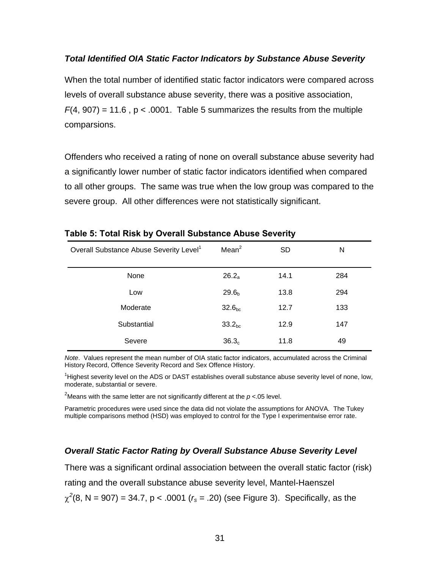### *Total Identified OIA Static Factor Indicators by Substance Abuse Severity*

When the total number of identified static factor indicators were compared across levels of overall substance abuse severity, there was a positive association,  $F(4, 907) = 11.6$ ,  $p < .0001$ . Table 5 summarizes the results from the multiple comparsions.

Offenders who received a rating of none on overall substance abuse severity had a significantly lower number of static factor indicators identified when compared to all other groups. The same was true when the low group was compared to the severe group. All other differences were not statistically significant.

| Overall Substance Abuse Severity Level <sup>1</sup> | Mean <sup>2</sup>  | <b>SD</b> | N   |
|-----------------------------------------------------|--------------------|-----------|-----|
| None                                                | $26.2_a$           | 14.1      | 284 |
| Low                                                 | 29.6 <sub>b</sub>  | 13.8      | 294 |
| Moderate                                            | 32.6 <sub>bc</sub> | 12.7      | 133 |
| Substantial                                         | 33.2 <sub>bc</sub> | 12.9      | 147 |
| Severe                                              | 36.3 <sub>c</sub>  | 11.8      | 49  |

### **Table 5: Total Risk by Overall Substance Abuse Severity**

*Note*. Values represent the mean number of OIA static factor indicators, accumulated across the Criminal History Record, Offence Severity Record and Sex Offence History.

<sup>1</sup>Highest severity level on the ADS or DAST establishes overall substance abuse severity level of none, low, moderate, substantial or severe.

<sup>2</sup>Means with the same letter are not significantly different at the  $p$  <.05 level.

Parametric procedures were used since the data did not violate the assumptions for ANOVA. The Tukey multiple comparisons method (HSD) was employed to control for the Type I experimentwise error rate.

# *Overall Static Factor Rating by Overall Substance Abuse Severity Level*

There was a significant ordinal association between the overall static factor (risk)

rating and the overall substance abuse severity level, Mantel-Haenszel

 $\chi^2(8, N = 907) = 34.7$ , p < .0001 ( $r_s = .20$ ) (see Figure 3). Specifically, as the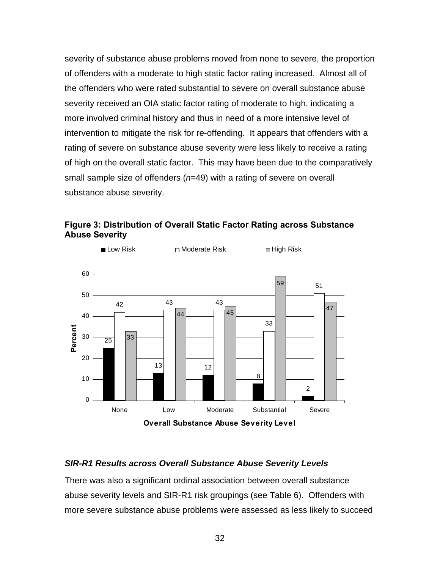severity of substance abuse problems moved from none to severe, the proportion of offenders with a moderate to high static factor rating increased. Almost all of the offenders who were rated substantial to severe on overall substance abuse severity received an OIA static factor rating of moderate to high, indicating a more involved criminal history and thus in need of a more intensive level of intervention to mitigate the risk for re-offending. It appears that offenders with a rating of severe on substance abuse severity were less likely to receive a rating of high on the overall static factor. This may have been due to the comparatively small sample size of offenders (*n*=49) with a rating of severe on overall substance abuse severity.





# *SIR-R1 Results across Overall Substance Abuse Severity Levels*

There was also a significant ordinal association between overall substance abuse severity levels and SIR-R1 risk groupings (see Table 6). Offenders with more severe substance abuse problems were assessed as less likely to succeed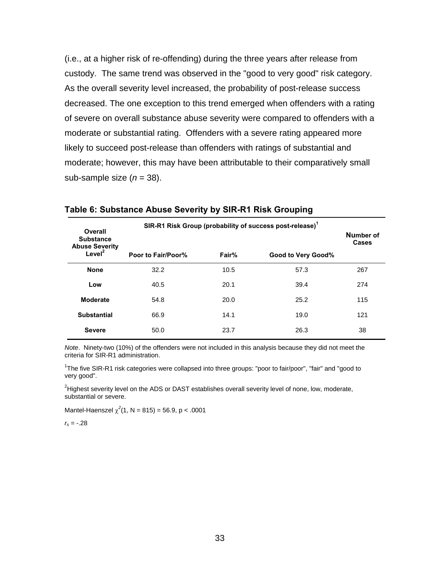(i.e., at a higher risk of re-offending) during the three years after release from custody. The same trend was observed in the "good to very good" risk category. As the overall severity level increased, the probability of post-release success decreased. The one exception to this trend emerged when offenders with a rating of severe on overall substance abuse severity were compared to offenders with a moderate or substantial rating. Offenders with a severe rating appeared more likely to succeed post-release than offenders with ratings of substantial and moderate; however, this may have been attributable to their comparatively small sub-sample size  $(n = 38)$ .

| Overall<br><b>Substance</b><br><b>Abuse Severity</b> | SIR-R1 Risk Group (probability of success post-release) <sup>1</sup> | Number of<br>Cases |                    |     |
|------------------------------------------------------|----------------------------------------------------------------------|--------------------|--------------------|-----|
| Level <sup>2</sup>                                   | Poor to Fair/Poor%                                                   | Fair%              | Good to Very Good% |     |
| <b>None</b>                                          | 32.2                                                                 | 10.5               | 57.3               | 267 |
| Low                                                  | 40.5                                                                 | 20.1               | 39.4               | 274 |
| <b>Moderate</b>                                      | 54.8                                                                 | 20.0               | 25.2               | 115 |
| <b>Substantial</b>                                   | 66.9                                                                 | 14.1               | 19.0               | 121 |
| <b>Severe</b>                                        | 50.0                                                                 | 23.7               | 26.3               | 38  |

#### **Table 6: Substance Abuse Severity by SIR-R1 Risk Grouping**

*Note*. Ninety-two (10%) of the offenders were not included in this analysis because they did not meet the criteria for SIR-R1 administration.

<sup>1</sup>The five SIR-R1 risk categories were collapsed into three groups: "poor to fair/poor", "fair" and "good to very good".

<sup>2</sup>Highest severity level on the ADS or DAST establishes overall severity level of none, low, moderate, substantial or severe.

Mantel-Haenszel  $\chi^2(1, N = 815) = 56.9, p < .0001$ 

*rs =* -.28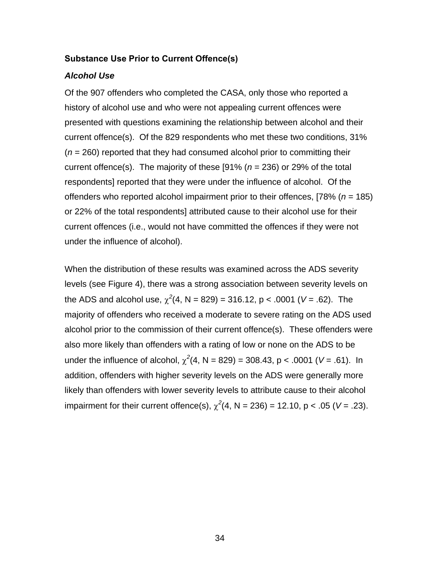### **Substance Use Prior to Current Offence(s)**

### *Alcohol Use*

Of the 907 offenders who completed the CASA, only those who reported a history of alcohol use and who were not appealing current offences were presented with questions examining the relationship between alcohol and their current offence(s). Of the 829 respondents who met these two conditions, 31% (*n* = 260) reported that they had consumed alcohol prior to committing their current offence(s). The majority of these [91% (*n* = 236) or 29% of the total respondents] reported that they were under the influence of alcohol. Of the offenders who reported alcohol impairment prior to their offences, [78% (*n* = 185) or 22% of the total respondents] attributed cause to their alcohol use for their current offences (i.e., would not have committed the offences if they were not under the influence of alcohol).

When the distribution of these results was examined across the ADS severity levels (see Figure 4), there was a strong association between severity levels on the ADS and alcohol use,  $\chi^2(4, N = 829) = 316.12$ , p < .0001 (V = .62). The majority of offenders who received a moderate to severe rating on the ADS used alcohol prior to the commission of their current offence(s). These offenders were also more likely than offenders with a rating of low or none on the ADS to be under the influence of alcohol,  $\chi^2(4, N = 829) = 308.43$ , p < .0001 (V = .61). In addition, offenders with higher severity levels on the ADS were generally more likely than offenders with lower severity levels to attribute cause to their alcohol impairment for their current offence(s),  $\chi^2(4, N = 236) = 12.10$ , p < .05 (V = .23).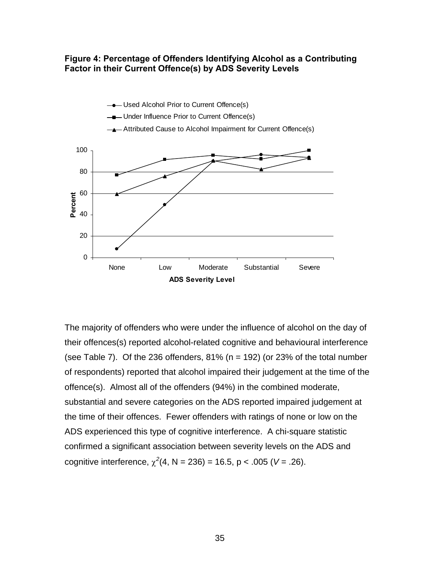# **Figure 4: Percentage of Offenders Identifying Alcohol as a Contributing Factor in their Current Offence(s) by ADS Severity Levels**



The majority of offenders who were under the influence of alcohol on the day of their offences(s) reported alcohol-related cognitive and behavioural interference (see Table 7). Of the 236 offenders,  $81\%$  (n = 192) (or 23% of the total number of respondents) reported that alcohol impaired their judgement at the time of the offence(s). Almost all of the offenders (94%) in the combined moderate, substantial and severe categories on the ADS reported impaired judgement at the time of their offences. Fewer offenders with ratings of none or low on the ADS experienced this type of cognitive interference. A chi-square statistic confirmed a significant association between severity levels on the ADS and cognitive interference,  $\chi^2(4, N = 236) = 16.5$ , p < .005 (V = .26).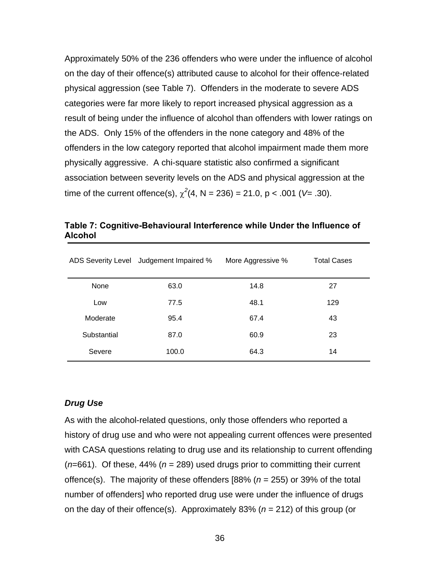Approximately 50% of the 236 offenders who were under the influence of alcohol on the day of their offence(s) attributed cause to alcohol for their offence-related physical aggression (see Table 7). Offenders in the moderate to severe ADS categories were far more likely to report increased physical aggression as a result of being under the influence of alcohol than offenders with lower ratings on the ADS. Only 15% of the offenders in the none category and 48% of the offenders in the low category reported that alcohol impairment made them more physically aggressive. A chi-square statistic also confirmed a significant association between severity levels on the ADS and physical aggression at the time of the current offence(s),  $\chi^2(4, N = 236) = 21.0, p < .001$  (V= .30).

|             | ADS Severity Level Judgement Impaired % | More Aggressive % | <b>Total Cases</b> |
|-------------|-----------------------------------------|-------------------|--------------------|
| None        | 63.0                                    | 14.8              | 27                 |
| Low         | 77.5                                    | 48.1              | 129                |
| Moderate    | 95.4                                    | 67.4              | 43                 |
| Substantial | 87.0                                    | 60.9              | 23                 |
| Severe      | 100.0                                   | 64.3              | 14                 |

**Table 7: Cognitive-Behavioural Interference while Under the Influence of Alcohol** 

### *Drug Use*

As with the alcohol-related questions, only those offenders who reported a history of drug use and who were not appealing current offences were presented with CASA questions relating to drug use and its relationship to current offending (*n*=661). Of these, 44% (*n* = 289) used drugs prior to committing their current offence(s). The majority of these offenders [88% (*n* = 255) or 39% of the total number of offenders] who reported drug use were under the influence of drugs on the day of their offence(s). Approximately 83% (*n* = 212) of this group (or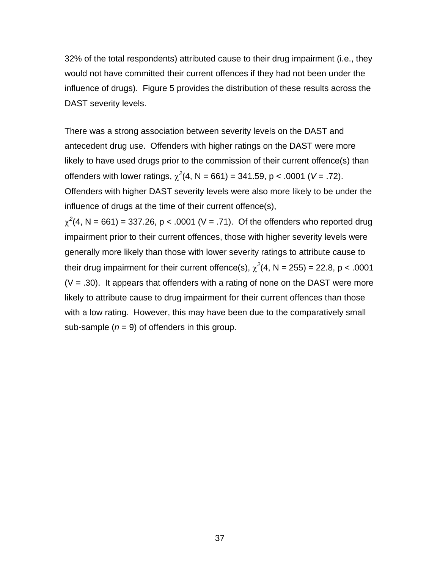32% of the total respondents) attributed cause to their drug impairment (i.e., they would not have committed their current offences if they had not been under the influence of drugs). Figure 5 provides the distribution of these results across the DAST severity levels.

There was a strong association between severity levels on the DAST and antecedent drug use. Offenders with higher ratings on the DAST were more likely to have used drugs prior to the commission of their current offence(s) than offenders with lower ratings,  $\chi^2(4, N = 661) = 341.59$ , p < .0001 (V = .72). Offenders with higher DAST severity levels were also more likely to be under the influence of drugs at the time of their current offence(s),

 $\chi^2$ (4, N = 661) = 337.26, p < .0001 (V = .71). Of the offenders who reported drug impairment prior to their current offences, those with higher severity levels were generally more likely than those with lower severity ratings to attribute cause to their drug impairment for their current offence(s),  $\chi^2(4, N = 255) = 22.8$ , p < .0001  $(V = .30)$ . It appears that offenders with a rating of none on the DAST were more likely to attribute cause to drug impairment for their current offences than those with a low rating. However, this may have been due to the comparatively small sub-sample  $(n = 9)$  of offenders in this group.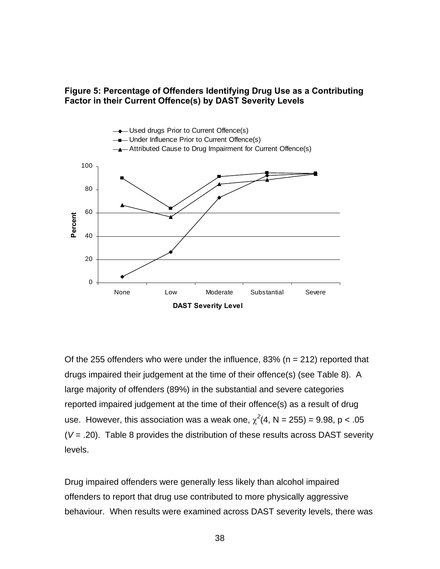

## **Figure 5: Percentage of Offenders Identifying Drug Use as a Contributing Factor in their Current Offence(s) by DAST Severity Levels**

Of the 255 offenders who were under the influence, 83% ( $n = 212$ ) reported that drugs impaired their judgement at the time of their offence(s) (see Table 8). A large majority of offenders (89%) in the substantial and severe categories reported impaired judgement at the time of their offence(s) as a result of drug use. However, this association was a weak one,  $\chi^2(4, N = 255) = 9.98$ ,  $p < .05$ (*V* = .20). Table 8 provides the distribution of these results across DAST severity levels.

Drug impaired offenders were generally less likely than alcohol impaired offenders to report that drug use contributed to more physically aggressive behaviour. When results were examined across DAST severity levels, there was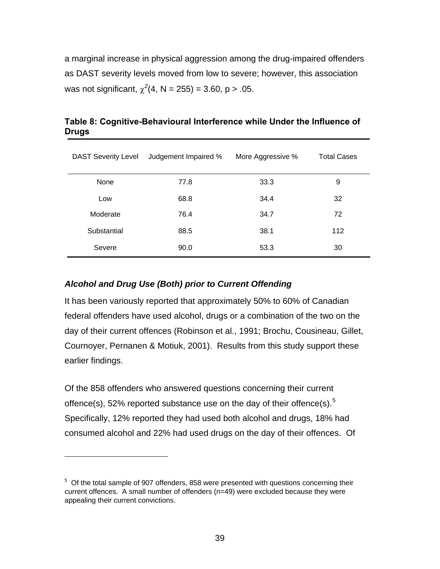a marginal increase in physical aggression among the drug-impaired offenders as DAST severity levels moved from low to severe; however, this association was not significant,  $\chi^2$ (4, N = 255) = 3.60, p > .05.

| <b>DAST Severity Level</b> | Judgement Impaired % | More Aggressive % | <b>Total Cases</b> |
|----------------------------|----------------------|-------------------|--------------------|
| None                       | 77.8                 | 33.3              | 9                  |
| Low                        | 68.8                 | 34.4              | 32                 |
| Moderate                   | 76.4                 | 34.7              | 72                 |
| Substantial                | 88.5                 | 38.1              | 112                |
| Severe                     | 90.0                 | 53.3              | 30                 |

**Table 8: Cognitive-Behavioural Interference while Under the Influence of Drugs** 

# *Alcohol and Drug Use (Both) prior to Current Offending*

 $\overline{a}$ 

It has been variously reported that approximately 50% to 60% of Canadian federal offenders have used alcohol, drugs or a combination of the two on the day of their current offences (Robinson et al., 1991; Brochu, Cousineau, Gillet, Cournoyer, Pernanen & Motiuk, 2001). Results from this study support these earlier findings.

Of the 858 offenders who answered questions concerning their current offence(s), [5](#page-49-0)2% reported substance use on the day of their offence(s).<sup>5</sup> Specifically, 12% reported they had used both alcohol and drugs, 18% had consumed alcohol and 22% had used drugs on the day of their offences. Of

<span id="page-49-0"></span> $5$  Of the total sample of 907 offenders, 858 were presented with questions concerning their current offences. A small number of offenders (n=49) were excluded because they were appealing their current convictions.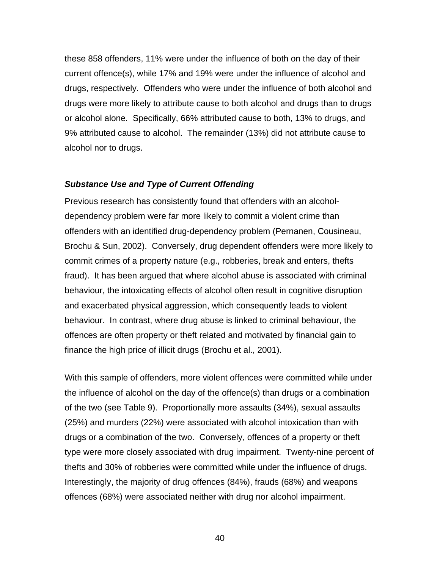these 858 offenders, 11% were under the influence of both on the day of their current offence(s), while 17% and 19% were under the influence of alcohol and drugs, respectively. Offenders who were under the influence of both alcohol and drugs were more likely to attribute cause to both alcohol and drugs than to drugs or alcohol alone. Specifically, 66% attributed cause to both, 13% to drugs, and 9% attributed cause to alcohol. The remainder (13%) did not attribute cause to alcohol nor to drugs.

#### *Substance Use and Type of Current Offending*

Previous research has consistently found that offenders with an alcoholdependency problem were far more likely to commit a violent crime than offenders with an identified drug-dependency problem (Pernanen, Cousineau, Brochu & Sun, 2002). Conversely, drug dependent offenders were more likely to commit crimes of a property nature (e.g., robberies, break and enters, thefts fraud). It has been argued that where alcohol abuse is associated with criminal behaviour, the intoxicating effects of alcohol often result in cognitive disruption and exacerbated physical aggression, which consequently leads to violent behaviour. In contrast, where drug abuse is linked to criminal behaviour, the offences are often property or theft related and motivated by financial gain to finance the high price of illicit drugs (Brochu et al., 2001).

With this sample of offenders, more violent offences were committed while under the influence of alcohol on the day of the offence(s) than drugs or a combination of the two (see Table 9). Proportionally more assaults (34%), sexual assaults (25%) and murders (22%) were associated with alcohol intoxication than with drugs or a combination of the two. Conversely, offences of a property or theft type were more closely associated with drug impairment. Twenty-nine percent of thefts and 30% of robberies were committed while under the influence of drugs. Interestingly, the majority of drug offences (84%), frauds (68%) and weapons offences (68%) were associated neither with drug nor alcohol impairment.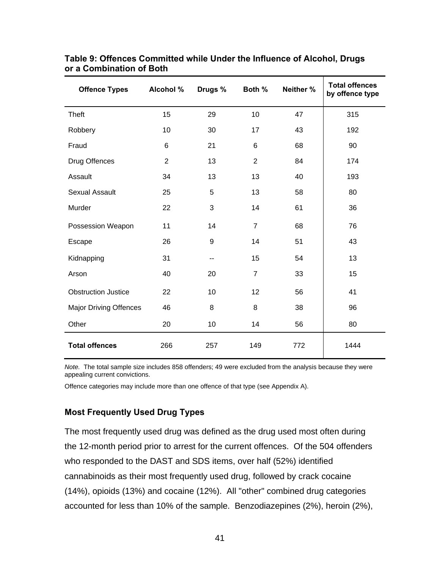| <b>Offence Types</b>          | Alcohol %      | Drugs % | Both %         | Neither % | <b>Total offences</b><br>by offence type |
|-------------------------------|----------------|---------|----------------|-----------|------------------------------------------|
| Theft                         | 15             | 29      | 10             | 47        | 315                                      |
| Robbery                       | 10             | 30      | 17             | 43        | 192                                      |
| Fraud                         | $6\phantom{1}$ | 21      | $6\phantom{1}$ | 68        | 90                                       |
| Drug Offences                 | $\overline{2}$ | 13      | $\overline{2}$ | 84        | 174                                      |
| Assault                       | 34             | 13      | 13             | 40        | 193                                      |
| <b>Sexual Assault</b>         | 25             | 5       | 13             | 58        | 80                                       |
| Murder                        | 22             | 3       | 14             | 61        | 36                                       |
| Possession Weapon             | 11             | 14      | $\overline{7}$ | 68        | 76                                       |
| Escape                        | 26             | 9       | 14             | 51        | 43                                       |
| Kidnapping                    | 31             | --      | 15             | 54        | 13                                       |
| Arson                         | 40             | 20      | $\overline{7}$ | 33        | 15                                       |
| <b>Obstruction Justice</b>    | 22             | 10      | 12             | 56        | 41                                       |
| <b>Major Driving Offences</b> | 46             | 8       | 8              | 38        | 96                                       |
| Other                         | 20             | 10      | 14             | 56        | 80                                       |
| <b>Total offences</b>         | 266            | 257     | 149            | 772       | 1444                                     |

# **Table 9: Offences Committed while Under the Influence of Alcohol, Drugs or a Combination of Both**

*Note.* The total sample size includes 858 offenders; 49 were excluded from the analysis because they were appealing current convictions.

Offence categories may include more than one offence of that type (see Appendix A).

# **Most Frequently Used Drug Types**

The most frequently used drug was defined as the drug used most often during the 12-month period prior to arrest for the current offences. Of the 504 offenders who responded to the DAST and SDS items, over half (52%) identified cannabinoids as their most frequently used drug, followed by crack cocaine (14%), opioids (13%) and cocaine (12%). All "other" combined drug categories accounted for less than 10% of the sample. Benzodiazepines (2%), heroin (2%),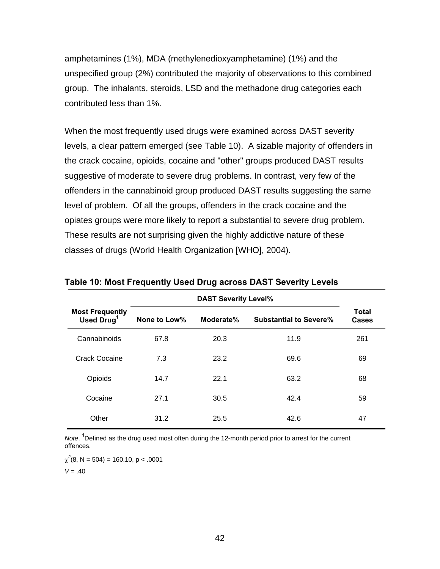amphetamines (1%), MDA (methylenedioxyamphetamine) (1%) and the unspecified group (2%) contributed the majority of observations to this combined group. The inhalants, steroids, LSD and the methadone drug categories each contributed less than 1%.

When the most frequently used drugs were examined across DAST severity levels, a clear pattern emerged (see Table 10). A sizable majority of offenders in the crack cocaine, opioids, cocaine and "other" groups produced DAST results suggestive of moderate to severe drug problems. In contrast, very few of the offenders in the cannabinoid group produced DAST results suggesting the same level of problem. Of all the groups, offenders in the crack cocaine and the opiates groups were more likely to report a substantial to severe drug problem. These results are not surprising given the highly addictive nature of these classes of drugs (World Health Organization [WHO], 2004).

| <b>Most Frequently</b><br>Used Drug <sup>1</sup> | None to Low% | Moderate% | <b>Substantial to Severe%</b> | <b>Total</b><br>Cases |
|--------------------------------------------------|--------------|-----------|-------------------------------|-----------------------|
| Cannabinoids                                     | 67.8         | 20.3      | 11.9                          | 261                   |
| <b>Crack Cocaine</b>                             | 7.3          | 23.2      | 69.6                          | 69                    |
| Opioids                                          | 14.7         | 22.1      | 63.2                          | 68                    |
| Cocaine                                          | 27.1         | 30.5      | 42.4                          | 59                    |
| Other                                            | 31.2         | 25.5      | 42.6                          | 47                    |

**Table 10: Most Frequently Used Drug across DAST Severity Levels** 

*Note*. **<sup>1</sup>** Defined as the drug used most often during the 12-month period prior to arrest for the current offences.

 $\chi^2(8, N = 504) = 160.10, p < .0001$ 

 $V = .40$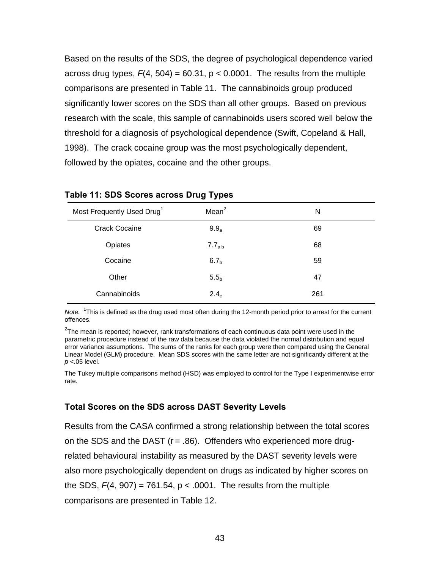Based on the results of the SDS, the degree of psychological dependence varied across drug types,  $F(4, 504) = 60.31$ ,  $p < 0.0001$ . The results from the multiple comparisons are presented in Table 11. The cannabinoids group produced significantly lower scores on the SDS than all other groups. Based on previous research with the scale, this sample of cannabinoids users scored well below the threshold for a diagnosis of psychological dependence (Swift, Copeland & Hall, 1998). The crack cocaine group was the most psychologically dependent, followed by the opiates, cocaine and the other groups.

| Most Frequently Used Drug <sup>1</sup> | Mean <sup>2</sup> | N   |
|----------------------------------------|-------------------|-----|
| <b>Crack Cocaine</b>                   | $9.9_a$           | 69  |
| Opiates                                | $7.7_{ab}$        | 68  |
| Cocaine                                | 6.7 <sub>b</sub>  | 59  |
| Other                                  | 5.5 <sub>b</sub>  | 47  |
| Cannabinoids                           | 2.4 <sub>c</sub>  | 261 |

#### **Table 11: SDS Scores across Drug Types**

*Note.* <sup>1</sup> This is defined as the drug used most often during the 12-month period prior to arrest for the current offences.

 $^{2}$ The mean is reported; however, rank transformations of each continuous data point were used in the parametric procedure instead of the raw data because the data violated the normal distribution and equal error variance assumptions. The sums of the ranks for each group were then compared using the General Linear Model (GLM) procedure. Mean SDS scores with the same letter are not significantly different at the *p* <.05 level.

The Tukey multiple comparisons method (HSD) was employed to control for the Type I experimentwise error rate.

#### **Total Scores on the SDS across DAST Severity Levels**

Results from the CASA confirmed a strong relationship between the total scores on the SDS and the DAST  $(r = .86)$ . Offenders who experienced more drugrelated behavioural instability as measured by the DAST severity levels were also more psychologically dependent on drugs as indicated by higher scores on the SDS,  $F(4, 907) = 761.54$ ,  $p < .0001$ . The results from the multiple comparisons are presented in Table 12.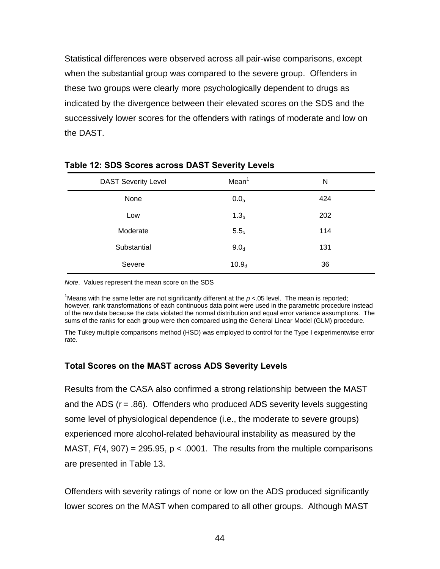Statistical differences were observed across all pair-wise comparisons, except when the substantial group was compared to the severe group. Offenders in these two groups were clearly more psychologically dependent to drugs as indicated by the divergence between their elevated scores on the SDS and the successively lower scores for the offenders with ratings of moderate and low on the DAST.

| <b>DAST Severity Level</b> | Mean <sup>1</sup> | N   |
|----------------------------|-------------------|-----|
| None                       | $0.0_a$           | 424 |
| Low                        | 1.3 <sub>b</sub>  | 202 |
| Moderate                   | 5.5 <sub>c</sub>  | 114 |
| Substantial                | 9.0 <sub>d</sub>  | 131 |
| Severe                     | 10.9 <sub>d</sub> | 36  |

#### **Table 12: SDS Scores across DAST Severity Levels**

*Note*. Values represent the mean score on the SDS

<sup>1</sup>Means with the same letter are not significantly different at the  $p < 05$  level. The mean is reported; however, rank transformations of each continuous data point were used in the parametric procedure instead of the raw data because the data violated the normal distribution and equal error variance assumptions. The sums of the ranks for each group were then compared using the General Linear Model (GLM) procedure.

The Tukey multiple comparisons method (HSD) was employed to control for the Type I experimentwise error rate.

# **Total Scores on the MAST across ADS Severity Levels**

Results from the CASA also confirmed a strong relationship between the MAST and the ADS  $(r = .86)$ . Offenders who produced ADS severity levels suggesting some level of physiological dependence (i.e., the moderate to severe groups) experienced more alcohol-related behavioural instability as measured by the MAST,  $F(4, 907) = 295.95$ ,  $p < .0001$ . The results from the multiple comparisons are presented in Table 13.

Offenders with severity ratings of none or low on the ADS produced significantly lower scores on the MAST when compared to all other groups. Although MAST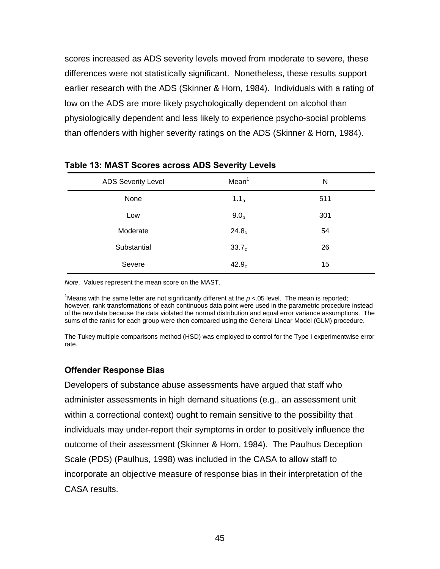scores increased as ADS severity levels moved from moderate to severe, these differences were not statistically significant. Nonetheless, these results support earlier research with the ADS (Skinner & Horn, 1984). Individuals with a rating of low on the ADS are more likely psychologically dependent on alcohol than physiologically dependent and less likely to experience psycho-social problems than offenders with higher severity ratings on the ADS (Skinner & Horn, 1984).

| <b>ADS Severity Level</b> | Mean <sup>1</sup> | N   |
|---------------------------|-------------------|-----|
| None                      | 1.1 <sub>a</sub>  | 511 |
| Low                       | 9.0 <sub>b</sub>  | 301 |
| Moderate                  | 24.8 <sub>c</sub> | 54  |
| Substantial               | 33.7 <sub>c</sub> | 26  |
| Severe                    | 42.9 <sub>c</sub> | 15  |

#### **Table 13: MAST Scores across ADS Severity Levels**

*Note*. Values represent the mean score on the MAST.

<sup>1</sup>Means with the same letter are not significantly different at the  $p < 05$  level. The mean is reported; however, rank transformations of each continuous data point were used in the parametric procedure instead of the raw data because the data violated the normal distribution and equal error variance assumptions. The sums of the ranks for each group were then compared using the General Linear Model (GLM) procedure.

The Tukey multiple comparisons method (HSD) was employed to control for the Type I experimentwise error rate.

### **Offender Response Bias**

Developers of substance abuse assessments have argued that staff who administer assessments in high demand situations (e.g., an assessment unit within a correctional context) ought to remain sensitive to the possibility that individuals may under-report their symptoms in order to positively influence the outcome of their assessment (Skinner & Horn, 1984). The Paulhus Deception Scale (PDS) (Paulhus, 1998) was included in the CASA to allow staff to incorporate an objective measure of response bias in their interpretation of the CASA results.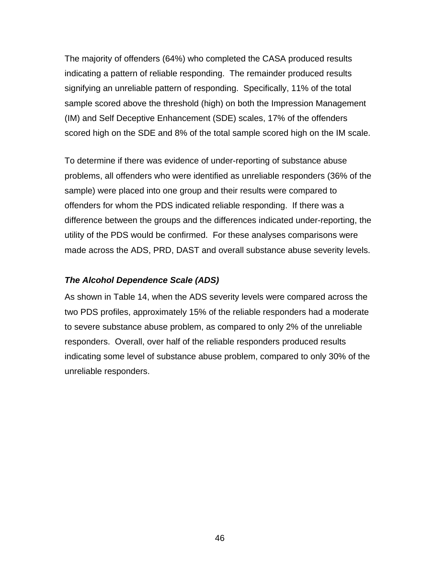The majority of offenders (64%) who completed the CASA produced results indicating a pattern of reliable responding. The remainder produced results signifying an unreliable pattern of responding. Specifically, 11% of the total sample scored above the threshold (high) on both the Impression Management (IM) and Self Deceptive Enhancement (SDE) scales, 17% of the offenders scored high on the SDE and 8% of the total sample scored high on the IM scale.

To determine if there was evidence of under-reporting of substance abuse problems, all offenders who were identified as unreliable responders (36% of the sample) were placed into one group and their results were compared to offenders for whom the PDS indicated reliable responding. If there was a difference between the groups and the differences indicated under-reporting, the utility of the PDS would be confirmed. For these analyses comparisons were made across the ADS, PRD, DAST and overall substance abuse severity levels.

### *The Alcohol Dependence Scale (ADS)*

As shown in Table 14, when the ADS severity levels were compared across the two PDS profiles, approximately 15% of the reliable responders had a moderate to severe substance abuse problem, as compared to only 2% of the unreliable responders. Overall, over half of the reliable responders produced results indicating some level of substance abuse problem, compared to only 30% of the unreliable responders.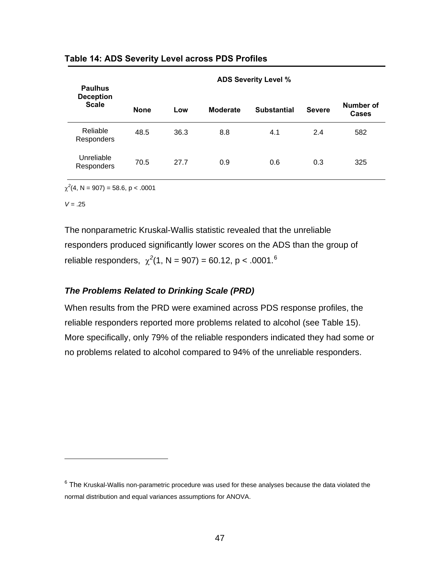| <b>Paulhus</b>                   |             |      |                 | <b>ADS Severity Level %</b> |               |                           |
|----------------------------------|-------------|------|-----------------|-----------------------------|---------------|---------------------------|
| <b>Deception</b><br><b>Scale</b> | <b>None</b> | Low  | <b>Moderate</b> | <b>Substantial</b>          | <b>Severe</b> | Number of<br><b>Cases</b> |
| Reliable<br><b>Responders</b>    | 48.5        | 36.3 | 8.8             | 4.1                         | 2.4           | 582                       |
| Unreliable<br>Responders         | 70.5        | 27.7 | 0.9             | 0.6                         | 0.3           | 325                       |

**Table 14: ADS Severity Level across PDS Profiles** 

 $\chi^2$ (4, N = 907) = 58.6, p < .0001

 $V = .25$ 

 $\overline{a}$ 

The nonparametric Kruskal-Wallis statistic revealed that the unreliable responders produced significantly lower scores on the ADS than the group of reliable responders,  $\chi^2(1, N = 907) = 60.12$  $\chi^2(1, N = 907) = 60.12$  $\chi^2(1, N = 907) = 60.12$ , p < .0001.<sup>6</sup>

# *The Problems Related to Drinking Scale (PRD)*

When results from the PRD were examined across PDS response profiles, the reliable responders reported more problems related to alcohol (see Table 15). More specifically, only 79% of the reliable responders indicated they had some or no problems related to alcohol compared to 94% of the unreliable responders.

<span id="page-57-0"></span> $^6$  The Kruskal-Wallis non-parametric procedure was used for these analyses because the data violated the normal distribution and equal variances assumptions for ANOVA.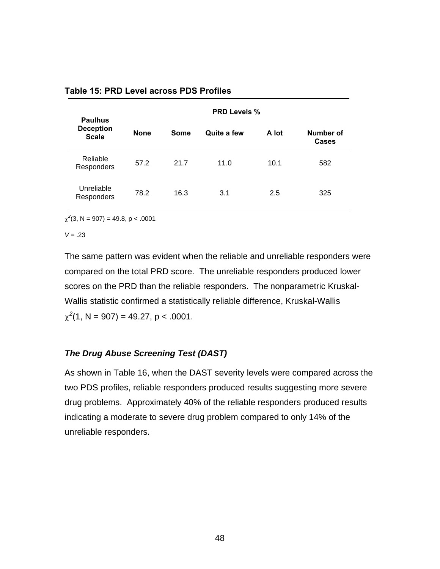| <b>Paulhus</b>                   | <b>PRD Levels %</b> |      |             |       |                           |  |  |
|----------------------------------|---------------------|------|-------------|-------|---------------------------|--|--|
| <b>Deception</b><br><b>Scale</b> | <b>None</b>         | Some | Quite a few | A lot | Number of<br><b>Cases</b> |  |  |
| Reliable<br>Responders           | 57.2                | 21.7 | 11.0        | 10.1  | 582                       |  |  |
| Unreliable<br>Responders         | 78.2                | 16.3 | 3.1         | 2.5   | 325                       |  |  |

### **Table 15: PRD Level across PDS Profiles**

 $\chi^2(3, N = 907) = 49.8, p < .0001$ 

 $V = .23$ 

The same pattern was evident when the reliable and unreliable responders were compared on the total PRD score. The unreliable responders produced lower scores on the PRD than the reliable responders. The nonparametric Kruskal-Wallis statistic confirmed a statistically reliable difference, Kruskal-Wallis  $\chi^2(1, N = 907) = 49.27, p < .0001.$ 

### *The Drug Abuse Screening Test (DAST)*

As shown in Table 16, when the DAST severity levels were compared across the two PDS profiles, reliable responders produced results suggesting more severe drug problems. Approximately 40% of the reliable responders produced results indicating a moderate to severe drug problem compared to only 14% of the unreliable responders.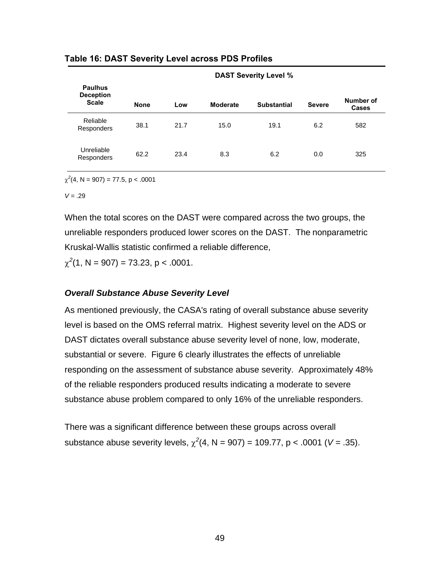|                                                    |             | <b>DAST Severity Level %</b> |                 |                    |               |                           |  |  |
|----------------------------------------------------|-------------|------------------------------|-----------------|--------------------|---------------|---------------------------|--|--|
| <b>Paulhus</b><br><b>Deception</b><br><b>Scale</b> | <b>None</b> | Low                          | <b>Moderate</b> | <b>Substantial</b> | <b>Severe</b> | Number of<br><b>Cases</b> |  |  |
| Reliable<br>Responders                             | 38.1        | 21.7                         | 15.0            | 19.1               | 6.2           | 582                       |  |  |
| Unreliable<br>Responders                           | 62.2        | 23.4                         | 8.3             | 6.2                | 0.0           | 325                       |  |  |

## **Table 16: DAST Severity Level across PDS Profiles**

 $\chi^2$ (4, N = 907) = 77.5, p < .0001

 $V = .29$ 

When the total scores on the DAST were compared across the two groups, the unreliable responders produced lower scores on the DAST. The nonparametric Kruskal-Wallis statistic confirmed a reliable difference,

 $\chi^2(1, N = 907) = 73.23, p < .0001.$ 

# *Overall Substance Abuse Severity Level*

As mentioned previously, the CASA's rating of overall substance abuse severity level is based on the OMS referral matrix. Highest severity level on the ADS or DAST dictates overall substance abuse severity level of none, low, moderate, substantial or severe. Figure 6 clearly illustrates the effects of unreliable responding on the assessment of substance abuse severity. Approximately 48% of the reliable responders produced results indicating a moderate to severe substance abuse problem compared to only 16% of the unreliable responders.

There was a significant difference between these groups across overall substance abuse severity levels,  $\chi^2(4, N = 907) = 109.77$ , p < .0001 (V = .35).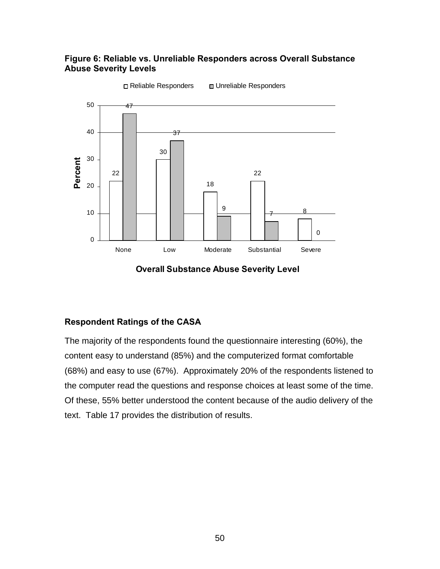# **Figure 6: Reliable vs. Unreliable Responders across Overall Substance Abuse Severity Levels**



**Overall Substance Abuse Severity Level**

# **Respondent Ratings of the CASA**

The majority of the respondents found the questionnaire interesting (60%), the content easy to understand (85%) and the computerized format comfortable (68%) and easy to use (67%). Approximately 20% of the respondents listened to the computer read the questions and response choices at least some of the time. Of these, 55% better understood the content because of the audio delivery of the text. Table 17 provides the distribution of results.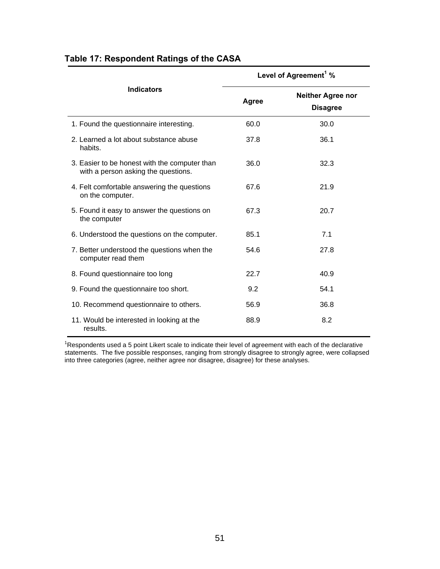|                                                                                      | Level of Agreement <sup>1</sup> % |                                             |  |  |
|--------------------------------------------------------------------------------------|-----------------------------------|---------------------------------------------|--|--|
| <b>Indicators</b>                                                                    | Agree                             | <b>Neither Agree nor</b><br><b>Disagree</b> |  |  |
| 1. Found the questionnaire interesting.                                              | 60.0                              | 30.0                                        |  |  |
| 2. Learned a lot about substance abuse<br>habits.                                    | 37.8                              | 36.1                                        |  |  |
| 3. Easier to be honest with the computer than<br>with a person asking the questions. | 36.0                              | 32.3                                        |  |  |
| 4. Felt comfortable answering the questions<br>on the computer.                      | 67.6                              | 21.9                                        |  |  |
| 5. Found it easy to answer the questions on<br>the computer                          | 67.3                              | 20.7                                        |  |  |
| 6. Understood the questions on the computer.                                         | 85.1                              | 7.1                                         |  |  |
| 7. Better understood the questions when the<br>computer read them                    | 54.6                              | 27.8                                        |  |  |
| 8. Found questionnaire too long                                                      | 22.7                              | 40.9                                        |  |  |
| 9. Found the questionnaire too short.                                                | 9.2                               | 54.1                                        |  |  |
| 10. Recommend questionnaire to others.                                               | 56.9                              | 36.8                                        |  |  |
| 11. Would be interested in looking at the<br>results.                                | 88.9                              | 8.2                                         |  |  |

# **Table 17: Respondent Ratings of the CASA**

<sup>1</sup>Respondents used a 5 point Likert scale to indicate their level of agreement with each of the declarative statements. The five possible responses, ranging from strongly disagree to strongly agree, were collapsed into three categories (agree, neither agree nor disagree, disagree) for these analyses.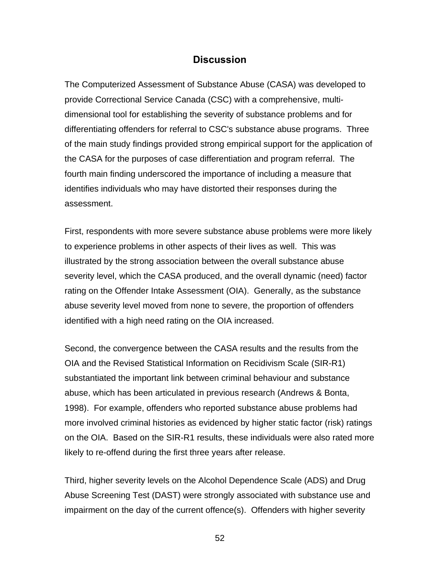# **Discussion**

The Computerized Assessment of Substance Abuse (CASA) was developed to provide Correctional Service Canada (CSC) with a comprehensive, multidimensional tool for establishing the severity of substance problems and for differentiating offenders for referral to CSC's substance abuse programs. Three of the main study findings provided strong empirical support for the application of the CASA for the purposes of case differentiation and program referral. The fourth main finding underscored the importance of including a measure that identifies individuals who may have distorted their responses during the assessment.

First, respondents with more severe substance abuse problems were more likely to experience problems in other aspects of their lives as well. This was illustrated by the strong association between the overall substance abuse severity level, which the CASA produced, and the overall dynamic (need) factor rating on the Offender Intake Assessment (OIA). Generally, as the substance abuse severity level moved from none to severe, the proportion of offenders identified with a high need rating on the OIA increased.

Second, the convergence between the CASA results and the results from the OIA and the Revised Statistical Information on Recidivism Scale (SIR-R1) substantiated the important link between criminal behaviour and substance abuse, which has been articulated in previous research (Andrews & Bonta, 1998). For example, offenders who reported substance abuse problems had more involved criminal histories as evidenced by higher static factor (risk) ratings on the OIA. Based on the SIR-R1 results, these individuals were also rated more likely to re-offend during the first three years after release.

Third, higher severity levels on the Alcohol Dependence Scale (ADS) and Drug Abuse Screening Test (DAST) were strongly associated with substance use and impairment on the day of the current offence(s). Offenders with higher severity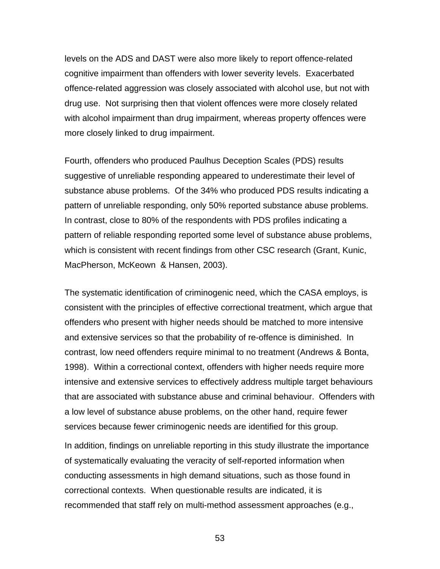levels on the ADS and DAST were also more likely to report offence-related cognitive impairment than offenders with lower severity levels. Exacerbated offence-related aggression was closely associated with alcohol use, but not with drug use. Not surprising then that violent offences were more closely related with alcohol impairment than drug impairment, whereas property offences were more closely linked to drug impairment.

Fourth, offenders who produced Paulhus Deception Scales (PDS) results suggestive of unreliable responding appeared to underestimate their level of substance abuse problems. Of the 34% who produced PDS results indicating a pattern of unreliable responding, only 50% reported substance abuse problems. In contrast, close to 80% of the respondents with PDS profiles indicating a pattern of reliable responding reported some level of substance abuse problems, which is consistent with recent findings from other CSC research (Grant, Kunic, MacPherson, McKeown & Hansen, 2003).

The systematic identification of criminogenic need, which the CASA employs, is consistent with the principles of effective correctional treatment, which argue that offenders who present with higher needs should be matched to more intensive and extensive services so that the probability of re-offence is diminished. In contrast, low need offenders require minimal to no treatment (Andrews & Bonta, 1998). Within a correctional context, offenders with higher needs require more intensive and extensive services to effectively address multiple target behaviours that are associated with substance abuse and criminal behaviour. Offenders with a low level of substance abuse problems, on the other hand, require fewer services because fewer criminogenic needs are identified for this group.

In addition, findings on unreliable reporting in this study illustrate the importance of systematically evaluating the veracity of self-reported information when conducting assessments in high demand situations, such as those found in correctional contexts. When questionable results are indicated, it is recommended that staff rely on multi-method assessment approaches (e.g.,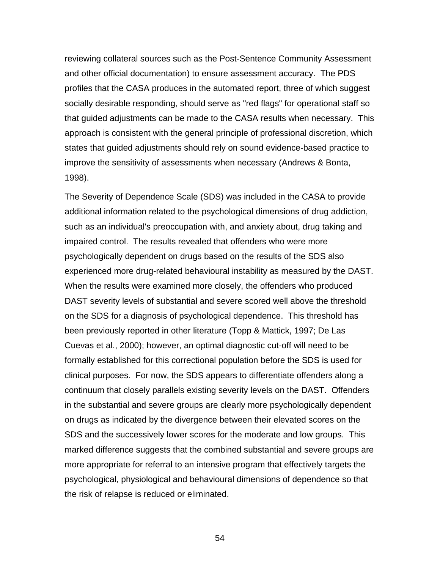reviewing collateral sources such as the Post-Sentence Community Assessment and other official documentation) to ensure assessment accuracy. The PDS profiles that the CASA produces in the automated report, three of which suggest socially desirable responding, should serve as "red flags" for operational staff so that guided adjustments can be made to the CASA results when necessary. This approach is consistent with the general principle of professional discretion, which states that guided adjustments should rely on sound evidence-based practice to improve the sensitivity of assessments when necessary (Andrews & Bonta, 1998).

The Severity of Dependence Scale (SDS) was included in the CASA to provide additional information related to the psychological dimensions of drug addiction, such as an individual's preoccupation with, and anxiety about, drug taking and impaired control. The results revealed that offenders who were more psychologically dependent on drugs based on the results of the SDS also experienced more drug-related behavioural instability as measured by the DAST. When the results were examined more closely, the offenders who produced DAST severity levels of substantial and severe scored well above the threshold on the SDS for a diagnosis of psychological dependence. This threshold has been previously reported in other literature (Topp & Mattick, 1997; De Las Cuevas et al., 2000); however, an optimal diagnostic cut-off will need to be formally established for this correctional population before the SDS is used for clinical purposes. For now, the SDS appears to differentiate offenders along a continuum that closely parallels existing severity levels on the DAST. Offenders in the substantial and severe groups are clearly more psychologically dependent on drugs as indicated by the divergence between their elevated scores on the SDS and the successively lower scores for the moderate and low groups. This marked difference suggests that the combined substantial and severe groups are more appropriate for referral to an intensive program that effectively targets the psychological, physiological and behavioural dimensions of dependence so that the risk of relapse is reduced or eliminated.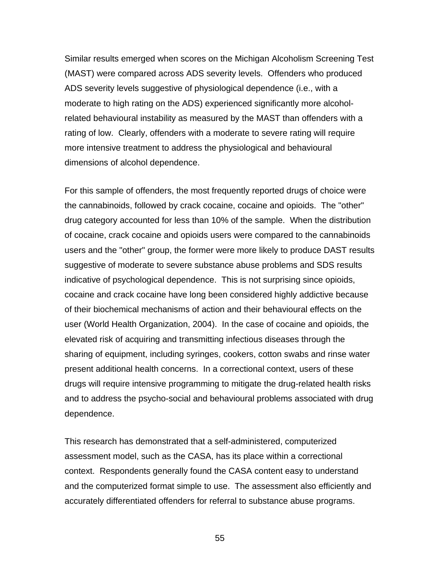Similar results emerged when scores on the Michigan Alcoholism Screening Test (MAST) were compared across ADS severity levels. Offenders who produced ADS severity levels suggestive of physiological dependence (i.e., with a moderate to high rating on the ADS) experienced significantly more alcoholrelated behavioural instability as measured by the MAST than offenders with a rating of low. Clearly, offenders with a moderate to severe rating will require more intensive treatment to address the physiological and behavioural dimensions of alcohol dependence.

For this sample of offenders, the most frequently reported drugs of choice were the cannabinoids, followed by crack cocaine, cocaine and opioids. The "other" drug category accounted for less than 10% of the sample. When the distribution of cocaine, crack cocaine and opioids users were compared to the cannabinoids users and the "other" group, the former were more likely to produce DAST results suggestive of moderate to severe substance abuse problems and SDS results indicative of psychological dependence. This is not surprising since opioids, cocaine and crack cocaine have long been considered highly addictive because of their biochemical mechanisms of action and their behavioural effects on the user (World Health Organization, 2004). In the case of cocaine and opioids, the elevated risk of acquiring and transmitting infectious diseases through the sharing of equipment, including syringes, cookers, cotton swabs and rinse water present additional health concerns. In a correctional context, users of these drugs will require intensive programming to mitigate the drug-related health risks and to address the psycho-social and behavioural problems associated with drug dependence.

This research has demonstrated that a self-administered, computerized assessment model, such as the CASA, has its place within a correctional context. Respondents generally found the CASA content easy to understand and the computerized format simple to use. The assessment also efficiently and accurately differentiated offenders for referral to substance abuse programs.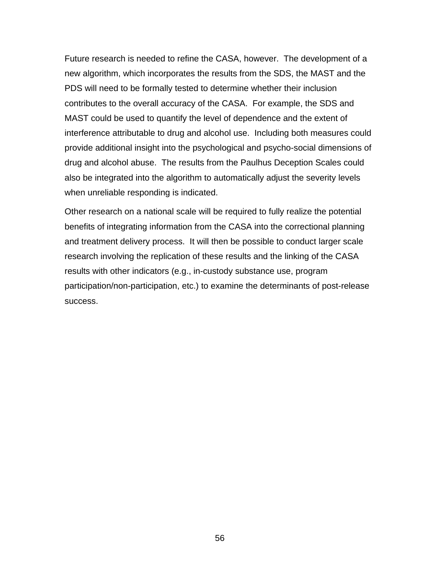Future research is needed to refine the CASA, however. The development of a new algorithm, which incorporates the results from the SDS, the MAST and the PDS will need to be formally tested to determine whether their inclusion contributes to the overall accuracy of the CASA. For example, the SDS and MAST could be used to quantify the level of dependence and the extent of interference attributable to drug and alcohol use. Including both measures could provide additional insight into the psychological and psycho-social dimensions of drug and alcohol abuse. The results from the Paulhus Deception Scales could also be integrated into the algorithm to automatically adjust the severity levels when unreliable responding is indicated.

Other research on a national scale will be required to fully realize the potential benefits of integrating information from the CASA into the correctional planning and treatment delivery process. It will then be possible to conduct larger scale research involving the replication of these results and the linking of the CASA results with other indicators (e.g., in-custody substance use, program participation/non-participation, etc.) to examine the determinants of post-release success.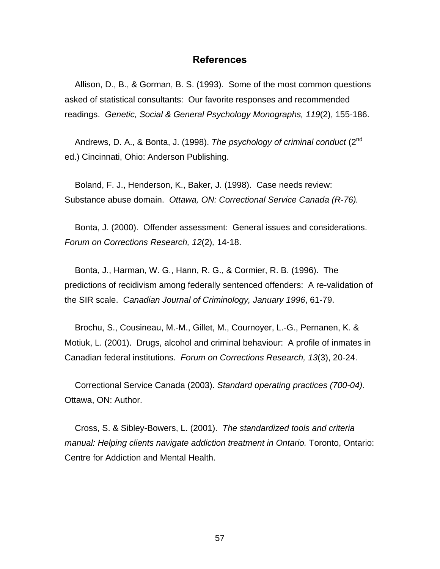## **References**

Allison, D., B., & Gorman, B. S. (1993). Some of the most common questions asked of statistical consultants: Our favorite responses and recommended readings. *Genetic, Social & General Psychology Monographs, 119*(2), 155-186.

Andrews, D. A., & Bonta, J. (1998). *The psychology of criminal conduct* (2nd ed.) Cincinnati, Ohio: Anderson Publishing.

Boland, F. J., Henderson, K., Baker, J. (1998). Case needs review: Substance abuse domain. *Ottawa, ON: Correctional Service Canada (R-76).*

Bonta, J. (2000). Offender assessment: General issues and considerations. *Forum on Corrections Research, 12*(2)*,* 14-18.

Bonta, J., Harman, W. G., Hann, R. G., & Cormier, R. B. (1996). The predictions of recidivism among federally sentenced offenders: A re-validation of the SIR scale. *Canadian Journal of Criminology, January 1996*, 61-79.

Brochu, S., Cousineau, M.-M., Gillet, M., Cournoyer, L.-G., Pernanen, K. & Motiuk, L. (2001). Drugs, alcohol and criminal behaviour: A profile of inmates in Canadian federal institutions. *Forum on Corrections Research, 13*(3), 20-24.

Correctional Service Canada (2003). *Standard operating practices (700-04)*. Ottawa, ON: Author.

Cross, S. & Sibley-Bowers, L. (2001). *The standardized tools and criteria manual: Helping clients navigate addiction treatment in Ontario.* Toronto, Ontario: Centre for Addiction and Mental Health.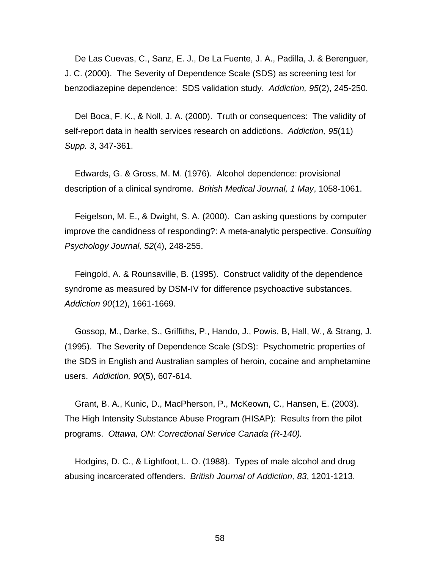De Las Cuevas, C., Sanz, E. J., De La Fuente, J. A., Padilla, J. & Berenguer, J. C. (2000). The Severity of Dependence Scale (SDS) as screening test for benzodiazepine dependence: SDS validation study. *Addiction, 95*(2), 245-250.

Del Boca, F. K., & Noll, J. A. (2000). Truth or consequences: The validity of self-report data in health services research on addictions. *Addiction, 95*(11) *Supp. 3*, 347-361.

Edwards, G. & Gross, M. M. (1976). Alcohol dependence: provisional description of a clinical syndrome. *British Medical Journal, 1 May*, 1058-1061.

Feigelson, M. E., & Dwight, S. A. (2000). Can asking questions by computer improve the candidness of responding?: A meta-analytic perspective. *Consulting Psychology Journal, 52*(4), 248-255.

Feingold, A. & Rounsaville, B. (1995). Construct validity of the dependence syndrome as measured by DSM-IV for difference psychoactive substances. *Addiction 90*(12), 1661-1669.

Gossop, M., Darke, S., Griffiths, P., Hando, J., Powis, B, Hall, W., & Strang, J. (1995). The Severity of Dependence Scale (SDS): Psychometric properties of the SDS in English and Australian samples of heroin, cocaine and amphetamine users. *Addiction, 90*(5), 607-614.

Grant, B. A., Kunic, D., MacPherson, P., McKeown, C., Hansen, E. (2003). The High Intensity Substance Abuse Program (HISAP): Results from the pilot programs. *Ottawa, ON: Correctional Service Canada (R-140).*

Hodgins, D. C., & Lightfoot, L. O. (1988). Types of male alcohol and drug abusing incarcerated offenders. *British Journal of Addiction, 83*, 1201-1213.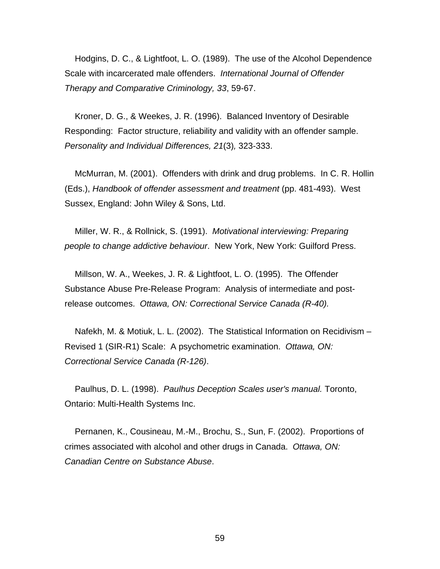Hodgins, D. C., & Lightfoot, L. O. (1989). The use of the Alcohol Dependence Scale with incarcerated male offenders. *International Journal of Offender Therapy and Comparative Criminology, 33*, 59-67.

Kroner, D. G., & Weekes, J. R. (1996). Balanced Inventory of Desirable Responding: Factor structure, reliability and validity with an offender sample. *Personality and Individual Differences, 21*(3)*,* 323-333.

McMurran, M. (2001). Offenders with drink and drug problems. In C. R. Hollin (Eds.), *Handbook of offender assessment and treatment* (pp. 481-493). West Sussex, England: John Wiley & Sons, Ltd.

Miller, W. R., & Rollnick, S. (1991). *Motivational interviewing: Preparing people to change addictive behaviour*. New York, New York: Guilford Press.

Millson, W. A., Weekes, J. R. & Lightfoot, L. O. (1995). The Offender Substance Abuse Pre-Release Program: Analysis of intermediate and postrelease outcomes. *Ottawa, ON: Correctional Service Canada (R-40).*

Nafekh, M. & Motiuk, L. L. (2002). The Statistical Information on Recidivism – Revised 1 (SIR-R1) Scale: A psychometric examination. *Ottawa, ON: Correctional Service Canada (R-126)*.

Paulhus, D. L. (1998). *Paulhus Deception Scales user's manual.* Toronto, Ontario: Multi-Health Systems Inc.

Pernanen, K., Cousineau, M.-M., Brochu, S., Sun, F. (2002). Proportions of crimes associated with alcohol and other drugs in Canada. *Ottawa, ON: Canadian Centre on Substance Abuse*.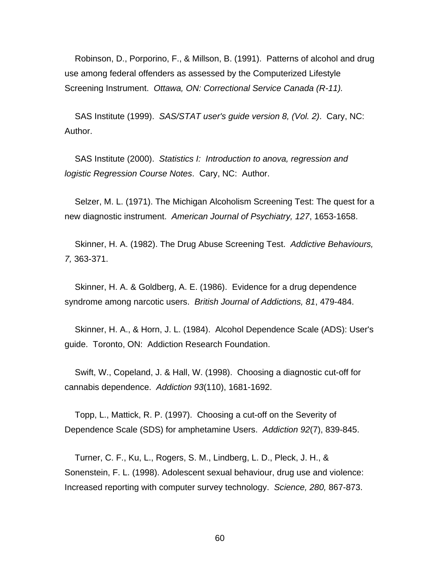Robinson, D., Porporino, F., & Millson, B. (1991). Patterns of alcohol and drug use among federal offenders as assessed by the Computerized Lifestyle Screening Instrument. *Ottawa, ON: Correctional Service Canada (R-11).*

SAS Institute (1999). *SAS/STAT user's guide version 8, (Vol. 2)*. Cary, NC: Author.

SAS Institute (2000). *Statistics I: Introduction to anova, regression and logistic Regression Course Notes*. Cary, NC: Author.

Selzer, M. L. (1971). The Michigan Alcoholism Screening Test: The quest for a new diagnostic instrument. *American Journal of Psychiatry, 127*, 1653-1658.

Skinner, H. A. (1982). The Drug Abuse Screening Test. *Addictive Behaviours, 7,* 363-371.

Skinner, H. A. & Goldberg, A. E. (1986). Evidence for a drug dependence syndrome among narcotic users. *British Journal of Addictions, 81*, 479-484.

Skinner, H. A., & Horn, J. L. (1984). Alcohol Dependence Scale (ADS): User's guide. Toronto, ON: Addiction Research Foundation.

Swift, W., Copeland, J. & Hall, W. (1998). Choosing a diagnostic cut-off for cannabis dependence. *Addiction 93*(110), 1681-1692.

Topp, L., Mattick, R. P. (1997). Choosing a cut-off on the Severity of Dependence Scale (SDS) for amphetamine Users. *Addiction 92*(7), 839-845.

Turner, C. F., Ku, L., Rogers, S. M., Lindberg, L. D., Pleck, J. H., & Sonenstein, F. L. (1998). Adolescent sexual behaviour, drug use and violence: Increased reporting with computer survey technology. *Science, 280,* 867-873.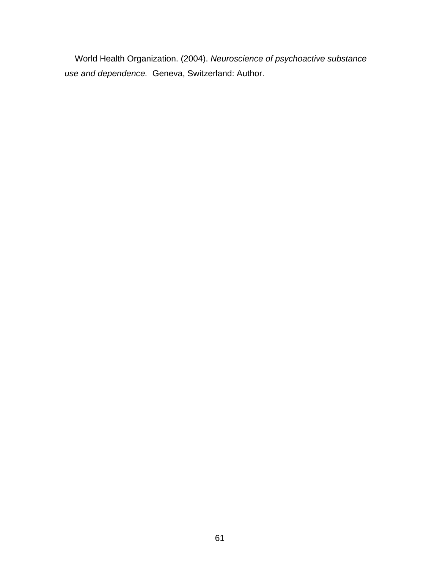World Health Organization. (2004). *Neuroscience of psychoactive substance use and dependence.* Geneva, Switzerland: Author.